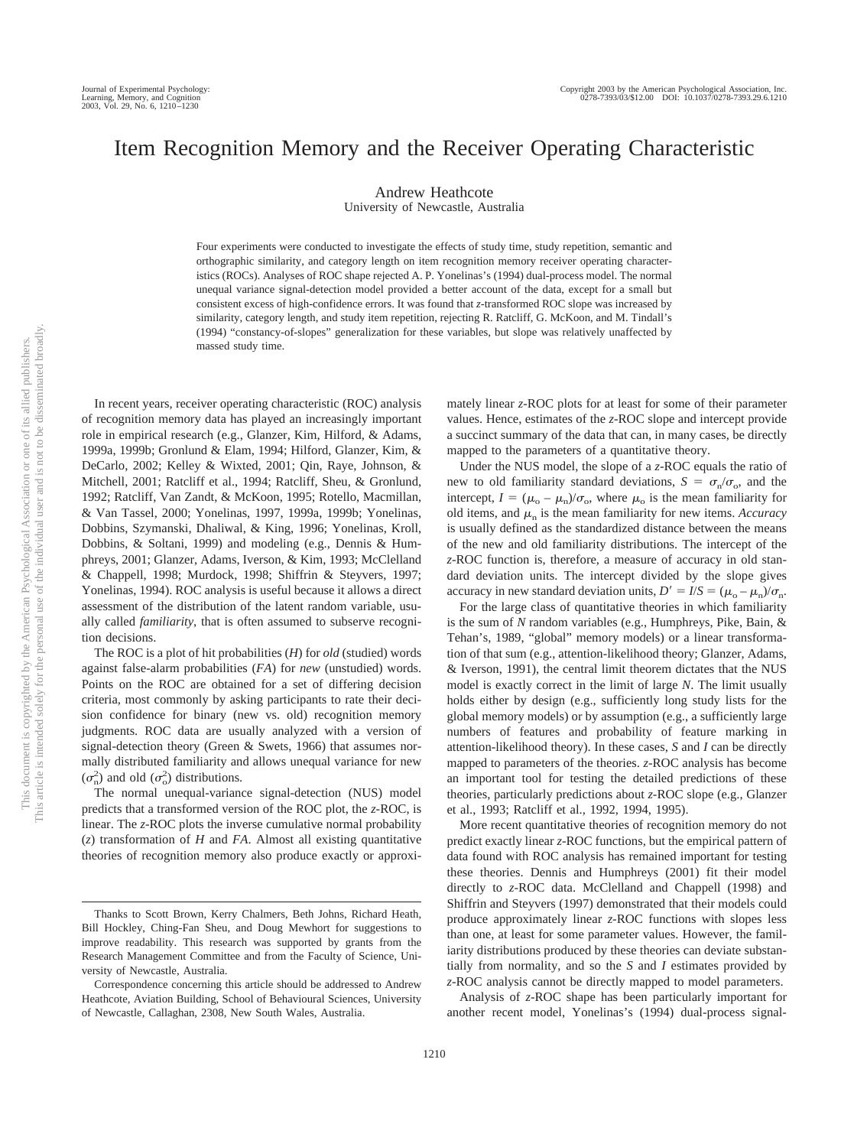# Item Recognition Memory and the Receiver Operating Characteristic

Andrew Heathcote

University of Newcastle, Australia

Four experiments were conducted to investigate the effects of study time, study repetition, semantic and orthographic similarity, and category length on item recognition memory receiver operating characteristics (ROCs). Analyses of ROC shape rejected A. P. Yonelinas's (1994) dual-process model. The normal unequal variance signal-detection model provided a better account of the data, except for a small but consistent excess of high-confidence errors. It was found that *z*-transformed ROC slope was increased by similarity, category length, and study item repetition, rejecting R. Ratcliff, G. McKoon, and M. Tindall's (1994) "constancy-of-slopes" generalization for these variables, but slope was relatively unaffected by massed study time.

In recent years, receiver operating characteristic (ROC) analysis of recognition memory data has played an increasingly important role in empirical research (e.g., Glanzer, Kim, Hilford, & Adams, 1999a, 1999b; Gronlund & Elam, 1994; Hilford, Glanzer, Kim, & DeCarlo, 2002; Kelley & Wixted, 2001; Qin, Raye, Johnson, & Mitchell, 2001; Ratcliff et al., 1994; Ratcliff, Sheu, & Gronlund, 1992; Ratcliff, Van Zandt, & McKoon, 1995; Rotello, Macmillan, & Van Tassel, 2000; Yonelinas, 1997, 1999a, 1999b; Yonelinas, Dobbins, Szymanski, Dhaliwal, & King, 1996; Yonelinas, Kroll, Dobbins, & Soltani, 1999) and modeling (e.g., Dennis & Humphreys, 2001; Glanzer, Adams, Iverson, & Kim, 1993; McClelland & Chappell, 1998; Murdock, 1998; Shiffrin & Steyvers, 1997; Yonelinas, 1994). ROC analysis is useful because it allows a direct assessment of the distribution of the latent random variable, usually called *familiarity*, that is often assumed to subserve recognition decisions.

The ROC is a plot of hit probabilities (*H*) for *old* (studied) words against false-alarm probabilities (*FA*) for *new* (unstudied) words. Points on the ROC are obtained for a set of differing decision criteria, most commonly by asking participants to rate their decision confidence for binary (new vs. old) recognition memory judgments. ROC data are usually analyzed with a version of signal-detection theory (Green & Swets, 1966) that assumes normally distributed familiarity and allows unequal variance for new  $(\sigma_{\rm n}^2)$  and old  $(\sigma_{\rm o}^2)$  distributions.

The normal unequal-variance signal-detection (NUS) model predicts that a transformed version of the ROC plot, the *z*-ROC, is linear. The *z*-ROC plots the inverse cumulative normal probability (*z*) transformation of *H* and *FA*. Almost all existing quantitative theories of recognition memory also produce exactly or approximately linear *z*-ROC plots for at least for some of their parameter values. Hence, estimates of the *z*-ROC slope and intercept provide a succinct summary of the data that can, in many cases, be directly mapped to the parameters of a quantitative theory.

Under the NUS model, the slope of a *z*-ROC equals the ratio of new to old familiarity standard deviations,  $S = \sigma_n/\sigma_o$ , and the intercept,  $I = (\mu_o - \mu_n)/\sigma_o$ , where  $\mu_o$  is the mean familiarity for old items, and  $\mu_n$  is the mean familiarity for new items. *Accuracy* is usually defined as the standardized distance between the means of the new and old familiarity distributions. The intercept of the *z*-ROC function is, therefore, a measure of accuracy in old standard deviation units. The intercept divided by the slope gives accuracy in new standard deviation units,  $D' = I/S = (\mu_o - \mu_n)/\sigma_n$ .

For the large class of quantitative theories in which familiarity is the sum of *N* random variables (e.g., Humphreys, Pike, Bain, & Tehan's, 1989, "global" memory models) or a linear transformation of that sum (e.g., attention-likelihood theory; Glanzer, Adams, & Iverson, 1991), the central limit theorem dictates that the NUS model is exactly correct in the limit of large *N*. The limit usually holds either by design (e.g., sufficiently long study lists for the global memory models) or by assumption (e.g., a sufficiently large numbers of features and probability of feature marking in attention-likelihood theory). In these cases, *S* and *I* can be directly mapped to parameters of the theories. *z*-ROC analysis has become an important tool for testing the detailed predictions of these theories, particularly predictions about *z*-ROC slope (e.g., Glanzer et al., 1993; Ratcliff et al., 1992, 1994, 1995).

More recent quantitative theories of recognition memory do not predict exactly linear *z*-ROC functions, but the empirical pattern of data found with ROC analysis has remained important for testing these theories. Dennis and Humphreys (2001) fit their model directly to *z*-ROC data. McClelland and Chappell (1998) and Shiffrin and Steyvers (1997) demonstrated that their models could produce approximately linear *z*-ROC functions with slopes less than one, at least for some parameter values. However, the familiarity distributions produced by these theories can deviate substantially from normality, and so the *S* and *I* estimates provided by *z*-ROC analysis cannot be directly mapped to model parameters.

Analysis of *z*-ROC shape has been particularly important for another recent model, Yonelinas's (1994) dual-process signal-

Thanks to Scott Brown, Kerry Chalmers, Beth Johns, Richard Heath, Bill Hockley, Ching-Fan Sheu, and Doug Mewhort for suggestions to improve readability. This research was supported by grants from the Research Management Committee and from the Faculty of Science, University of Newcastle, Australia.

Correspondence concerning this article should be addressed to Andrew Heathcote, Aviation Building, School of Behavioural Sciences, University of Newcastle, Callaghan, 2308, New South Wales, Australia.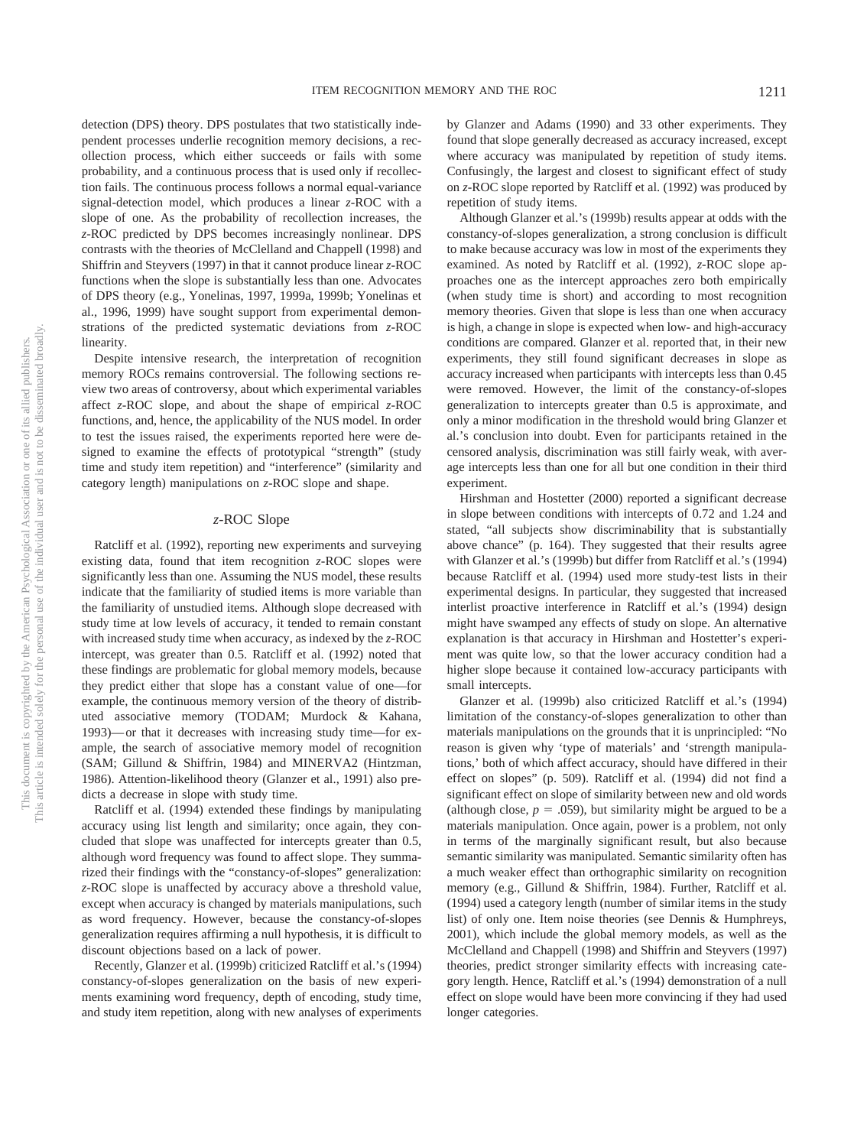detection (DPS) theory. DPS postulates that two statistically independent processes underlie recognition memory decisions, a recollection process, which either succeeds or fails with some probability, and a continuous process that is used only if recollection fails. The continuous process follows a normal equal-variance signal-detection model, which produces a linear *z*-ROC with a slope of one. As the probability of recollection increases, the *z*-ROC predicted by DPS becomes increasingly nonlinear. DPS contrasts with the theories of McClelland and Chappell (1998) and Shiffrin and Steyvers (1997) in that it cannot produce linear *z*-ROC functions when the slope is substantially less than one. Advocates of DPS theory (e.g., Yonelinas, 1997, 1999a, 1999b; Yonelinas et al., 1996, 1999) have sought support from experimental demonstrations of the predicted systematic deviations from *z*-ROC linearity.

Despite intensive research, the interpretation of recognition memory ROCs remains controversial. The following sections review two areas of controversy, about which experimental variables affect *z*-ROC slope, and about the shape of empirical *z*-ROC functions, and, hence, the applicability of the NUS model. In order to test the issues raised, the experiments reported here were designed to examine the effects of prototypical "strength" (study time and study item repetition) and "interference" (similarity and category length) manipulations on *z*-ROC slope and shape.

## *z*-ROC Slope

Ratcliff et al. (1992), reporting new experiments and surveying existing data, found that item recognition *z*-ROC slopes were significantly less than one. Assuming the NUS model, these results indicate that the familiarity of studied items is more variable than the familiarity of unstudied items. Although slope decreased with study time at low levels of accuracy, it tended to remain constant with increased study time when accuracy, as indexed by the *z*-ROC intercept, was greater than 0.5. Ratcliff et al. (1992) noted that these findings are problematic for global memory models, because they predict either that slope has a constant value of one—for example, the continuous memory version of the theory of distributed associative memory (TODAM; Murdock & Kahana, 1993)—or that it decreases with increasing study time—for example, the search of associative memory model of recognition (SAM; Gillund & Shiffrin, 1984) and MINERVA2 (Hintzman, 1986). Attention-likelihood theory (Glanzer et al., 1991) also predicts a decrease in slope with study time.

Ratcliff et al. (1994) extended these findings by manipulating accuracy using list length and similarity; once again, they concluded that slope was unaffected for intercepts greater than 0.5, although word frequency was found to affect slope. They summarized their findings with the "constancy-of-slopes" generalization: *z*-ROC slope is unaffected by accuracy above a threshold value, except when accuracy is changed by materials manipulations, such as word frequency. However, because the constancy-of-slopes generalization requires affirming a null hypothesis, it is difficult to discount objections based on a lack of power.

Recently, Glanzer et al. (1999b) criticized Ratcliff et al.'s (1994) constancy-of-slopes generalization on the basis of new experiments examining word frequency, depth of encoding, study time, and study item repetition, along with new analyses of experiments by Glanzer and Adams (1990) and 33 other experiments. They found that slope generally decreased as accuracy increased, except where accuracy was manipulated by repetition of study items. Confusingly, the largest and closest to significant effect of study on *z*-ROC slope reported by Ratcliff et al. (1992) was produced by repetition of study items.

Although Glanzer et al.'s (1999b) results appear at odds with the constancy-of-slopes generalization, a strong conclusion is difficult to make because accuracy was low in most of the experiments they examined. As noted by Ratcliff et al. (1992), *z*-ROC slope approaches one as the intercept approaches zero both empirically (when study time is short) and according to most recognition memory theories. Given that slope is less than one when accuracy is high, a change in slope is expected when low- and high-accuracy conditions are compared. Glanzer et al. reported that, in their new experiments, they still found significant decreases in slope as accuracy increased when participants with intercepts less than 0.45 were removed. However, the limit of the constancy-of-slopes generalization to intercepts greater than 0.5 is approximate, and only a minor modification in the threshold would bring Glanzer et al.'s conclusion into doubt. Even for participants retained in the censored analysis, discrimination was still fairly weak, with average intercepts less than one for all but one condition in their third experiment.

Hirshman and Hostetter (2000) reported a significant decrease in slope between conditions with intercepts of 0.72 and 1.24 and stated, "all subjects show discriminability that is substantially above chance" (p. 164). They suggested that their results agree with Glanzer et al.'s (1999b) but differ from Ratcliff et al.'s (1994) because Ratcliff et al. (1994) used more study-test lists in their experimental designs. In particular, they suggested that increased interlist proactive interference in Ratcliff et al.'s (1994) design might have swamped any effects of study on slope. An alternative explanation is that accuracy in Hirshman and Hostetter's experiment was quite low, so that the lower accuracy condition had a higher slope because it contained low-accuracy participants with small intercepts.

Glanzer et al. (1999b) also criticized Ratcliff et al.'s (1994) limitation of the constancy-of-slopes generalization to other than materials manipulations on the grounds that it is unprincipled: "No reason is given why 'type of materials' and 'strength manipulations,' both of which affect accuracy, should have differed in their effect on slopes" (p. 509). Ratcliff et al. (1994) did not find a significant effect on slope of similarity between new and old words (although close,  $p = .059$ ), but similarity might be argued to be a materials manipulation. Once again, power is a problem, not only in terms of the marginally significant result, but also because semantic similarity was manipulated. Semantic similarity often has a much weaker effect than orthographic similarity on recognition memory (e.g., Gillund & Shiffrin, 1984). Further, Ratcliff et al. (1994) used a category length (number of similar items in the study list) of only one. Item noise theories (see Dennis & Humphreys, 2001), which include the global memory models, as well as the McClelland and Chappell (1998) and Shiffrin and Steyvers (1997) theories, predict stronger similarity effects with increasing category length. Hence, Ratcliff et al.'s (1994) demonstration of a null effect on slope would have been more convincing if they had used longer categories.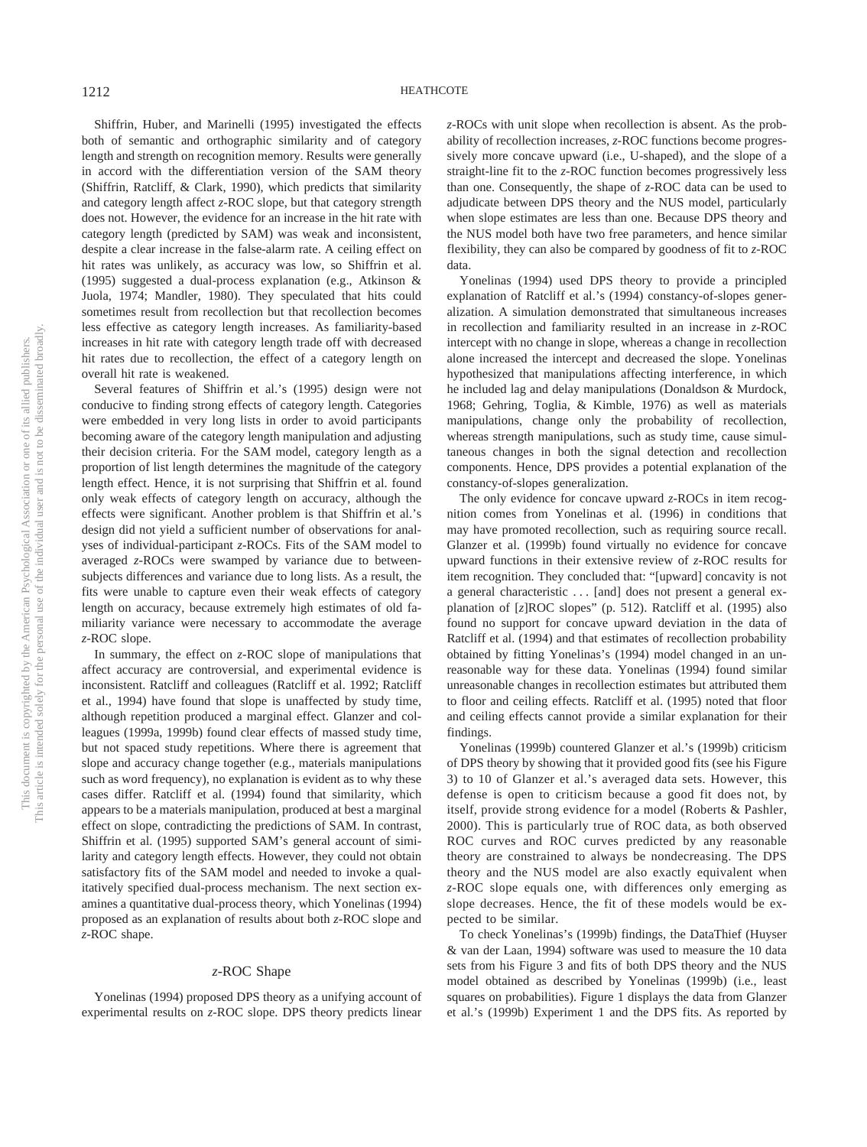Shiffrin, Huber, and Marinelli (1995) investigated the effects both of semantic and orthographic similarity and of category length and strength on recognition memory. Results were generally in accord with the differentiation version of the SAM theory (Shiffrin, Ratcliff, & Clark, 1990), which predicts that similarity and category length affect *z*-ROC slope, but that category strength does not. However, the evidence for an increase in the hit rate with category length (predicted by SAM) was weak and inconsistent, despite a clear increase in the false-alarm rate. A ceiling effect on hit rates was unlikely, as accuracy was low, so Shiffrin et al. (1995) suggested a dual-process explanation (e.g., Atkinson & Juola, 1974; Mandler, 1980). They speculated that hits could sometimes result from recollection but that recollection becomes less effective as category length increases. As familiarity-based increases in hit rate with category length trade off with decreased hit rates due to recollection, the effect of a category length on overall hit rate is weakened.

Several features of Shiffrin et al.'s (1995) design were not conducive to finding strong effects of category length. Categories were embedded in very long lists in order to avoid participants becoming aware of the category length manipulation and adjusting their decision criteria. For the SAM model, category length as a proportion of list length determines the magnitude of the category length effect. Hence, it is not surprising that Shiffrin et al. found only weak effects of category length on accuracy, although the effects were significant. Another problem is that Shiffrin et al.'s design did not yield a sufficient number of observations for analyses of individual-participant *z*-ROCs. Fits of the SAM model to averaged *z*-ROCs were swamped by variance due to betweensubjects differences and variance due to long lists. As a result, the fits were unable to capture even their weak effects of category length on accuracy, because extremely high estimates of old familiarity variance were necessary to accommodate the average *z*-ROC slope.

In summary, the effect on *z*-ROC slope of manipulations that affect accuracy are controversial, and experimental evidence is inconsistent. Ratcliff and colleagues (Ratcliff et al. 1992; Ratcliff et al., 1994) have found that slope is unaffected by study time, although repetition produced a marginal effect. Glanzer and colleagues (1999a, 1999b) found clear effects of massed study time, but not spaced study repetitions. Where there is agreement that slope and accuracy change together (e.g., materials manipulations such as word frequency), no explanation is evident as to why these cases differ. Ratcliff et al. (1994) found that similarity, which appears to be a materials manipulation, produced at best a marginal effect on slope, contradicting the predictions of SAM. In contrast, Shiffrin et al. (1995) supported SAM's general account of similarity and category length effects. However, they could not obtain satisfactory fits of the SAM model and needed to invoke a qualitatively specified dual-process mechanism. The next section examines a quantitative dual-process theory, which Yonelinas (1994) proposed as an explanation of results about both *z*-ROC slope and *z*-ROC shape.

#### *z*-ROC Shape

Yonelinas (1994) proposed DPS theory as a unifying account of experimental results on *z*-ROC slope. DPS theory predicts linear *z*-ROCs with unit slope when recollection is absent. As the probability of recollection increases, *z*-ROC functions become progressively more concave upward (i.e., U-shaped), and the slope of a straight-line fit to the *z*-ROC function becomes progressively less than one. Consequently, the shape of *z*-ROC data can be used to adjudicate between DPS theory and the NUS model, particularly when slope estimates are less than one. Because DPS theory and the NUS model both have two free parameters, and hence similar flexibility, they can also be compared by goodness of fit to *z*-ROC data.

Yonelinas (1994) used DPS theory to provide a principled explanation of Ratcliff et al.'s (1994) constancy-of-slopes generalization. A simulation demonstrated that simultaneous increases in recollection and familiarity resulted in an increase in *z*-ROC intercept with no change in slope, whereas a change in recollection alone increased the intercept and decreased the slope. Yonelinas hypothesized that manipulations affecting interference, in which he included lag and delay manipulations (Donaldson & Murdock, 1968; Gehring, Toglia, & Kimble, 1976) as well as materials manipulations, change only the probability of recollection, whereas strength manipulations, such as study time, cause simultaneous changes in both the signal detection and recollection components. Hence, DPS provides a potential explanation of the constancy-of-slopes generalization.

The only evidence for concave upward *z*-ROCs in item recognition comes from Yonelinas et al. (1996) in conditions that may have promoted recollection, such as requiring source recall. Glanzer et al. (1999b) found virtually no evidence for concave upward functions in their extensive review of *z*-ROC results for item recognition. They concluded that: "[upward] concavity is not a general characteristic . . . [and] does not present a general explanation of [*z*]ROC slopes" (p. 512). Ratcliff et al. (1995) also found no support for concave upward deviation in the data of Ratcliff et al. (1994) and that estimates of recollection probability obtained by fitting Yonelinas's (1994) model changed in an unreasonable way for these data. Yonelinas (1994) found similar unreasonable changes in recollection estimates but attributed them to floor and ceiling effects. Ratcliff et al. (1995) noted that floor and ceiling effects cannot provide a similar explanation for their findings.

Yonelinas (1999b) countered Glanzer et al.'s (1999b) criticism of DPS theory by showing that it provided good fits (see his Figure 3) to 10 of Glanzer et al.'s averaged data sets. However, this defense is open to criticism because a good fit does not, by itself, provide strong evidence for a model (Roberts & Pashler, 2000). This is particularly true of ROC data, as both observed ROC curves and ROC curves predicted by any reasonable theory are constrained to always be nondecreasing. The DPS theory and the NUS model are also exactly equivalent when *z*-ROC slope equals one, with differences only emerging as slope decreases. Hence, the fit of these models would be expected to be similar.

To check Yonelinas's (1999b) findings, the DataThief (Huyser & van der Laan, 1994) software was used to measure the 10 data sets from his Figure 3 and fits of both DPS theory and the NUS model obtained as described by Yonelinas (1999b) (i.e., least squares on probabilities). Figure 1 displays the data from Glanzer et al.'s (1999b) Experiment 1 and the DPS fits. As reported by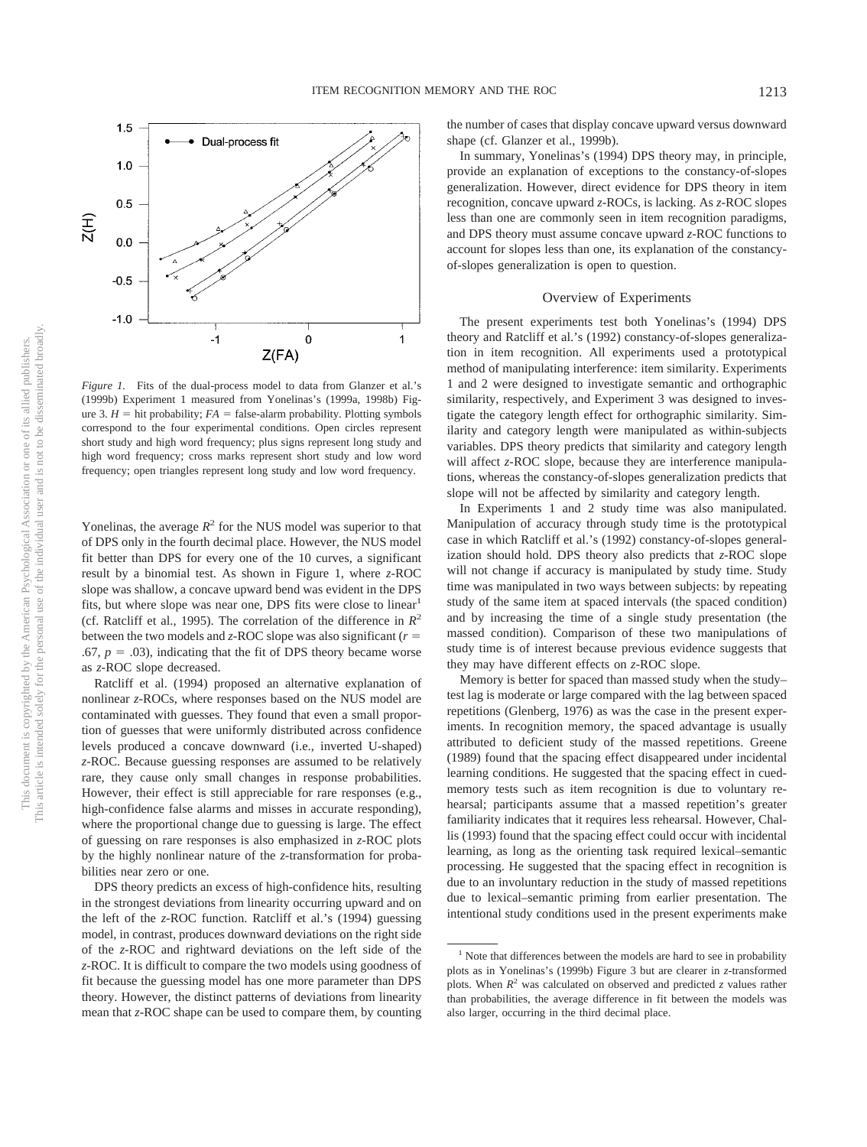

*Figure 1.* Fits of the dual-process model to data from Glanzer et al.'s (1999b) Experiment 1 measured from Yonelinas's (1999a, 1998b) Figure 3.  $H =$  hit probability;  $FA =$  false-alarm probability. Plotting symbols correspond to the four experimental conditions. Open circles represent short study and high word frequency; plus signs represent long study and high word frequency; cross marks represent short study and low word frequency; open triangles represent long study and low word frequency.

Yonelinas, the average  $R^2$  for the NUS model was superior to that of DPS only in the fourth decimal place. However, the NUS model fit better than DPS for every one of the 10 curves, a significant result by a binomial test. As shown in Figure 1, where *z*-ROC slope was shallow, a concave upward bend was evident in the DPS fits, but where slope was near one, DPS fits were close to linear<sup>1</sup> (cf. Ratcliff et al., 1995). The correlation of the difference in  $R^2$ between the two models and *z*-ROC slope was also significant (*r* .67,  $p = .03$ ), indicating that the fit of DPS theory became worse as *z*-ROC slope decreased.

Ratcliff et al. (1994) proposed an alternative explanation of nonlinear *z*-ROCs, where responses based on the NUS model are contaminated with guesses. They found that even a small proportion of guesses that were uniformly distributed across confidence levels produced a concave downward (i.e., inverted U-shaped) *z*-ROC. Because guessing responses are assumed to be relatively rare, they cause only small changes in response probabilities. However, their effect is still appreciable for rare responses (e.g., high-confidence false alarms and misses in accurate responding), where the proportional change due to guessing is large. The effect of guessing on rare responses is also emphasized in *z*-ROC plots by the highly nonlinear nature of the *z*-transformation for probabilities near zero or one.

DPS theory predicts an excess of high-confidence hits, resulting in the strongest deviations from linearity occurring upward and on the left of the *z*-ROC function. Ratcliff et al.'s (1994) guessing model, in contrast, produces downward deviations on the right side of the *z*-ROC and rightward deviations on the left side of the *z*-ROC. It is difficult to compare the two models using goodness of fit because the guessing model has one more parameter than DPS theory. However, the distinct patterns of deviations from linearity mean that *z*-ROC shape can be used to compare them, by counting the number of cases that display concave upward versus downward shape (cf. Glanzer et al., 1999b).

In summary, Yonelinas's (1994) DPS theory may, in principle, provide an explanation of exceptions to the constancy-of-slopes generalization. However, direct evidence for DPS theory in item recognition, concave upward *z*-ROCs, is lacking. As *z*-ROC slopes less than one are commonly seen in item recognition paradigms, and DPS theory must assume concave upward *z*-ROC functions to account for slopes less than one, its explanation of the constancyof-slopes generalization is open to question.

#### Overview of Experiments

The present experiments test both Yonelinas's (1994) DPS theory and Ratcliff et al.'s (1992) constancy-of-slopes generalization in item recognition. All experiments used a prototypical method of manipulating interference: item similarity. Experiments 1 and 2 were designed to investigate semantic and orthographic similarity, respectively, and Experiment 3 was designed to investigate the category length effect for orthographic similarity. Similarity and category length were manipulated as within-subjects variables. DPS theory predicts that similarity and category length will affect *z*-ROC slope, because they are interference manipulations, whereas the constancy-of-slopes generalization predicts that slope will not be affected by similarity and category length.

In Experiments 1 and 2 study time was also manipulated. Manipulation of accuracy through study time is the prototypical case in which Ratcliff et al.'s (1992) constancy-of-slopes generalization should hold. DPS theory also predicts that *z*-ROC slope will not change if accuracy is manipulated by study time. Study time was manipulated in two ways between subjects: by repeating study of the same item at spaced intervals (the spaced condition) and by increasing the time of a single study presentation (the massed condition). Comparison of these two manipulations of study time is of interest because previous evidence suggests that they may have different effects on *z*-ROC slope.

Memory is better for spaced than massed study when the study– test lag is moderate or large compared with the lag between spaced repetitions (Glenberg, 1976) as was the case in the present experiments. In recognition memory, the spaced advantage is usually attributed to deficient study of the massed repetitions. Greene (1989) found that the spacing effect disappeared under incidental learning conditions. He suggested that the spacing effect in cuedmemory tests such as item recognition is due to voluntary rehearsal; participants assume that a massed repetition's greater familiarity indicates that it requires less rehearsal. However, Challis (1993) found that the spacing effect could occur with incidental learning, as long as the orienting task required lexical–semantic processing. He suggested that the spacing effect in recognition is due to an involuntary reduction in the study of massed repetitions due to lexical–semantic priming from earlier presentation. The intentional study conditions used in the present experiments make

<sup>&</sup>lt;sup>1</sup> Note that differences between the models are hard to see in probability plots as in Yonelinas's (1999b) Figure 3 but are clearer in *z*-transformed plots. When  $R^2$  was calculated on observed and predicted *z* values rather than probabilities, the average difference in fit between the models was also larger, occurring in the third decimal place.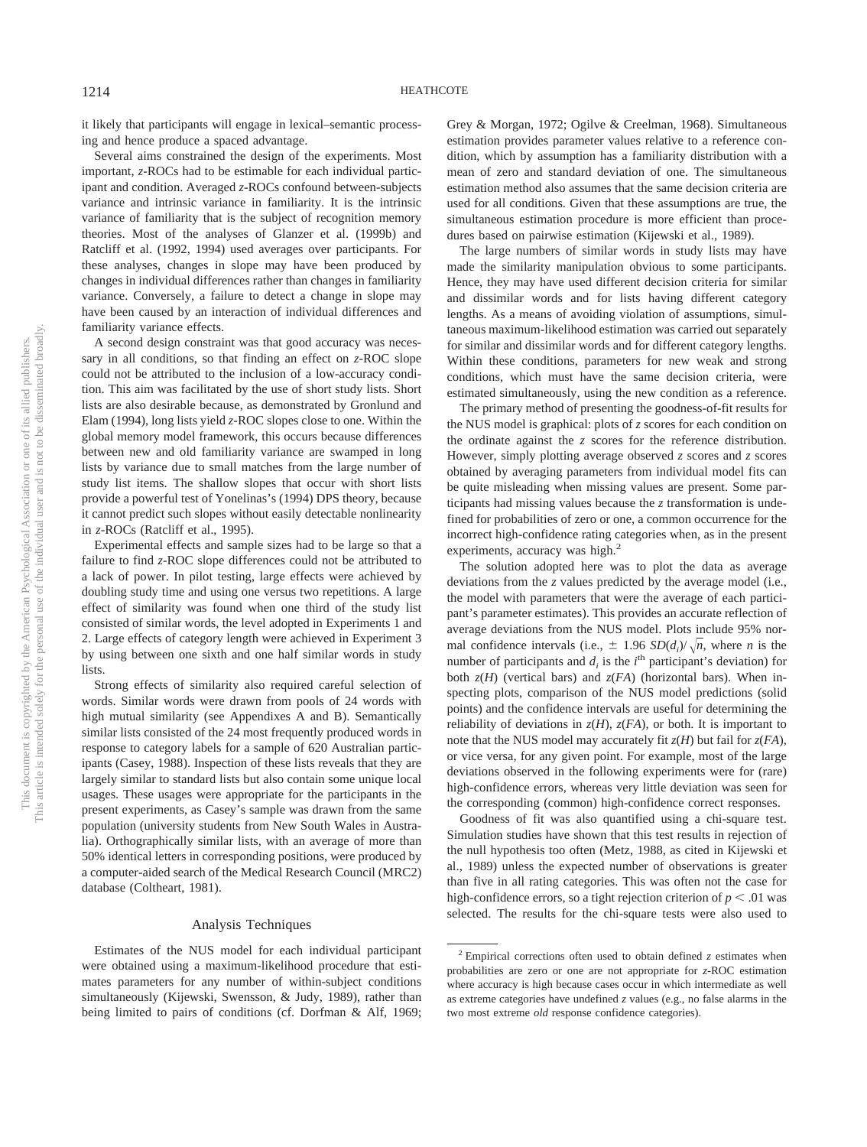it likely that participants will engage in lexical–semantic processing and hence produce a spaced advantage.

Several aims constrained the design of the experiments. Most important, *z*-ROCs had to be estimable for each individual participant and condition. Averaged *z*-ROCs confound between-subjects variance and intrinsic variance in familiarity. It is the intrinsic variance of familiarity that is the subject of recognition memory theories. Most of the analyses of Glanzer et al. (1999b) and Ratcliff et al. (1992, 1994) used averages over participants. For these analyses, changes in slope may have been produced by changes in individual differences rather than changes in familiarity variance. Conversely, a failure to detect a change in slope may have been caused by an interaction of individual differences and familiarity variance effects.

A second design constraint was that good accuracy was necessary in all conditions, so that finding an effect on *z*-ROC slope could not be attributed to the inclusion of a low-accuracy condition. This aim was facilitated by the use of short study lists. Short lists are also desirable because, as demonstrated by Gronlund and Elam (1994), long lists yield *z*-ROC slopes close to one. Within the global memory model framework, this occurs because differences between new and old familiarity variance are swamped in long lists by variance due to small matches from the large number of study list items. The shallow slopes that occur with short lists provide a powerful test of Yonelinas's (1994) DPS theory, because it cannot predict such slopes without easily detectable nonlinearity in *z*-ROCs (Ratcliff et al., 1995).

Experimental effects and sample sizes had to be large so that a failure to find *z*-ROC slope differences could not be attributed to a lack of power. In pilot testing, large effects were achieved by doubling study time and using one versus two repetitions. A large effect of similarity was found when one third of the study list consisted of similar words, the level adopted in Experiments 1 and 2. Large effects of category length were achieved in Experiment 3 by using between one sixth and one half similar words in study lists.

Strong effects of similarity also required careful selection of words. Similar words were drawn from pools of 24 words with high mutual similarity (see Appendixes A and B). Semantically similar lists consisted of the 24 most frequently produced words in response to category labels for a sample of 620 Australian participants (Casey, 1988). Inspection of these lists reveals that they are largely similar to standard lists but also contain some unique local usages. These usages were appropriate for the participants in the present experiments, as Casey's sample was drawn from the same population (university students from New South Wales in Australia). Orthographically similar lists, with an average of more than 50% identical letters in corresponding positions, were produced by a computer-aided search of the Medical Research Council (MRC2) database (Coltheart, 1981).

#### Analysis Techniques

Estimates of the NUS model for each individual participant were obtained using a maximum-likelihood procedure that estimates parameters for any number of within-subject conditions simultaneously (Kijewski, Swensson, & Judy, 1989), rather than being limited to pairs of conditions (cf. Dorfman & Alf, 1969; Grey & Morgan, 1972; Ogilve & Creelman, 1968). Simultaneous estimation provides parameter values relative to a reference condition, which by assumption has a familiarity distribution with a mean of zero and standard deviation of one. The simultaneous estimation method also assumes that the same decision criteria are used for all conditions. Given that these assumptions are true, the simultaneous estimation procedure is more efficient than procedures based on pairwise estimation (Kijewski et al., 1989).

The large numbers of similar words in study lists may have made the similarity manipulation obvious to some participants. Hence, they may have used different decision criteria for similar and dissimilar words and for lists having different category lengths. As a means of avoiding violation of assumptions, simultaneous maximum-likelihood estimation was carried out separately for similar and dissimilar words and for different category lengths. Within these conditions, parameters for new weak and strong conditions, which must have the same decision criteria, were estimated simultaneously, using the new condition as a reference.

The primary method of presenting the goodness-of-fit results for the NUS model is graphical: plots of *z* scores for each condition on the ordinate against the  $z$  scores for the reference distribution. However, simply plotting average observed *z* scores and *z* scores obtained by averaging parameters from individual model fits can be quite misleading when missing values are present. Some participants had missing values because the *z* transformation is undefined for probabilities of zero or one, a common occurrence for the incorrect high-confidence rating categories when, as in the present experiments, accuracy was high.<sup>2</sup>

The solution adopted here was to plot the data as average deviations from the *z* values predicted by the average model (i.e., the model with parameters that were the average of each participant's parameter estimates). This provides an accurate reflection of average deviations from the NUS model. Plots include 95% normal confidence intervals (i.e.,  $\pm$  1.96 *SD(d<sub>i</sub>*)/ $\sqrt{n}$ , where *n* is the number of participants and  $d_i$  is the  $i^{\text{th}}$  participant's deviation) for both  $z(H)$  (vertical bars) and  $z(FA)$  (horizontal bars). When inspecting plots, comparison of the NUS model predictions (solid points) and the confidence intervals are useful for determining the reliability of deviations in  $z(H)$ ,  $z(FA)$ , or both. It is important to note that the NUS model may accurately fit *z*(*H*) but fail for *z*(*FA*), or vice versa, for any given point. For example, most of the large deviations observed in the following experiments were for (rare) high-confidence errors, whereas very little deviation was seen for the corresponding (common) high-confidence correct responses.

Goodness of fit was also quantified using a chi-square test. Simulation studies have shown that this test results in rejection of the null hypothesis too often (Metz, 1988, as cited in Kijewski et al., 1989) unless the expected number of observations is greater than five in all rating categories. This was often not the case for high-confidence errors, so a tight rejection criterion of  $p < .01$  was selected. The results for the chi-square tests were also used to

<sup>2</sup> Empirical corrections often used to obtain defined *z* estimates when probabilities are zero or one are not appropriate for *z*-ROC estimation where accuracy is high because cases occur in which intermediate as well as extreme categories have undefined *z* values (e.g., no false alarms in the two most extreme *old* response confidence categories).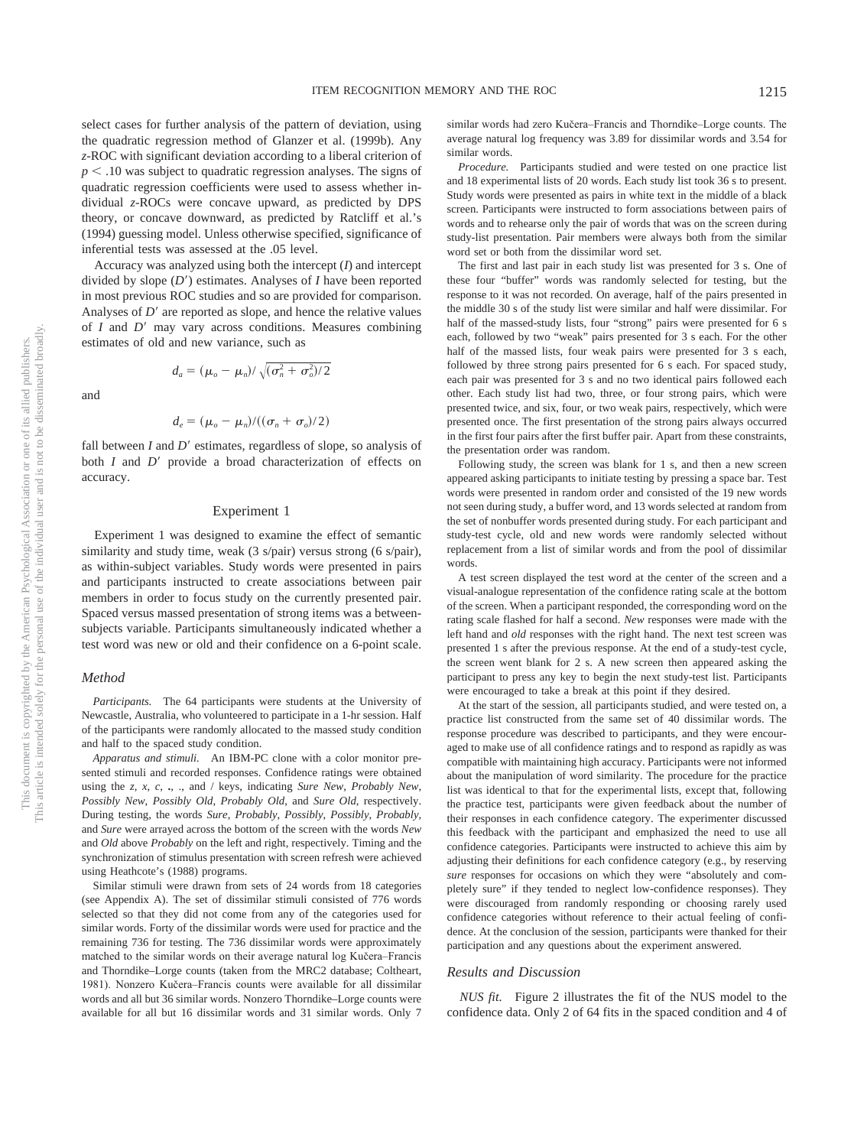select cases for further analysis of the pattern of deviation, using the quadratic regression method of Glanzer et al. (1999b). Any *z*-ROC with significant deviation according to a liberal criterion of  $p < 0.10$  was subject to quadratic regression analyses. The signs of quadratic regression coefficients were used to assess whether individual *z*-ROCs were concave upward, as predicted by DPS theory, or concave downward, as predicted by Ratcliff et al.'s (1994) guessing model. Unless otherwise specified, significance of inferential tests was assessed at the .05 level.

Accuracy was analyzed using both the intercept (*I*) and intercept divided by slope (*D*-) estimates. Analyses of *I* have been reported in most previous ROC studies and so are provided for comparison. Analyses of  $D'$  are reported as slope, and hence the relative values of *I* and *D'* may vary across conditions. Measures combining estimates of old and new variance, such as

$$
d_a = (\mu_o - \mu_n)/\sqrt{(\sigma_n^2 + \sigma_o^2)/2}
$$

and

$$
d_e = (\mu_o - \mu_n)/((\sigma_n + \sigma_o)/2)
$$

fall between  $I$  and  $D'$  estimates, regardless of slope, so analysis of both *I* and *D'* provide a broad characterization of effects on accuracy.

## Experiment 1

Experiment 1 was designed to examine the effect of semantic similarity and study time, weak (3 s/pair) versus strong (6 s/pair), as within-subject variables. Study words were presented in pairs and participants instructed to create associations between pair members in order to focus study on the currently presented pair. Spaced versus massed presentation of strong items was a betweensubjects variable. Participants simultaneously indicated whether a test word was new or old and their confidence on a 6-point scale.

#### *Method*

*Participants.* The 64 participants were students at the University of Newcastle, Australia, who volunteered to participate in a 1-hr session. Half of the participants were randomly allocated to the massed study condition and half to the spaced study condition.

*Apparatus and stimuli.* An IBM-PC clone with a color monitor presented stimuli and recorded responses. Confidence ratings were obtained using the *z*, *x*, *c*, **.**, ., and / keys, indicating *Sure New*, *Probably New*, *Possibly New*, *Possibly Old*, *Probably Old*, and *Sure Old*, respectively. During testing, the words *Sure*, *Probably*, *Possibly*, *Possibly*, *Probably*, and *Sure* were arrayed across the bottom of the screen with the words *New* and *Old* above *Probably* on the left and right, respectively. Timing and the synchronization of stimulus presentation with screen refresh were achieved using Heathcote's (1988) programs.

Similar stimuli were drawn from sets of 24 words from 18 categories (see Appendix A). The set of dissimilar stimuli consisted of 776 words selected so that they did not come from any of the categories used for similar words. Forty of the dissimilar words were used for practice and the remaining 736 for testing. The 736 dissimilar words were approximately matched to the similar words on their average natural log Kučera–Francis and Thorndike–Lorge counts (taken from the MRC2 database; Coltheart, 1981). Nonzero Kučera–Francis counts were available for all dissimilar words and all but 36 similar words. Nonzero Thorndike–Lorge counts were available for all but 16 dissimilar words and 31 similar words. Only 7 similar words had zero Kučera–Francis and Thorndike–Lorge counts. The average natural log frequency was 3.89 for dissimilar words and 3.54 for similar words.

*Procedure.* Participants studied and were tested on one practice list and 18 experimental lists of 20 words. Each study list took 36 s to present. Study words were presented as pairs in white text in the middle of a black screen. Participants were instructed to form associations between pairs of words and to rehearse only the pair of words that was on the screen during study-list presentation. Pair members were always both from the similar word set or both from the dissimilar word set.

The first and last pair in each study list was presented for 3 s. One of these four "buffer" words was randomly selected for testing, but the response to it was not recorded. On average, half of the pairs presented in the middle 30 s of the study list were similar and half were dissimilar. For half of the massed-study lists, four "strong" pairs were presented for 6 s each, followed by two "weak" pairs presented for 3 s each. For the other half of the massed lists, four weak pairs were presented for 3 s each, followed by three strong pairs presented for 6 s each. For spaced study, each pair was presented for 3 s and no two identical pairs followed each other. Each study list had two, three, or four strong pairs, which were presented twice, and six, four, or two weak pairs, respectively, which were presented once. The first presentation of the strong pairs always occurred in the first four pairs after the first buffer pair. Apart from these constraints, the presentation order was random.

Following study, the screen was blank for 1 s, and then a new screen appeared asking participants to initiate testing by pressing a space bar. Test words were presented in random order and consisted of the 19 new words not seen during study, a buffer word, and 13 words selected at random from the set of nonbuffer words presented during study. For each participant and study-test cycle, old and new words were randomly selected without replacement from a list of similar words and from the pool of dissimilar words.

A test screen displayed the test word at the center of the screen and a visual-analogue representation of the confidence rating scale at the bottom of the screen. When a participant responded, the corresponding word on the rating scale flashed for half a second. *New* responses were made with the left hand and *old* responses with the right hand. The next test screen was presented 1 s after the previous response. At the end of a study-test cycle, the screen went blank for 2 s. A new screen then appeared asking the participant to press any key to begin the next study-test list. Participants were encouraged to take a break at this point if they desired.

At the start of the session, all participants studied, and were tested on, a practice list constructed from the same set of 40 dissimilar words. The response procedure was described to participants, and they were encouraged to make use of all confidence ratings and to respond as rapidly as was compatible with maintaining high accuracy. Participants were not informed about the manipulation of word similarity. The procedure for the practice list was identical to that for the experimental lists, except that, following the practice test, participants were given feedback about the number of their responses in each confidence category. The experimenter discussed this feedback with the participant and emphasized the need to use all confidence categories. Participants were instructed to achieve this aim by adjusting their definitions for each confidence category (e.g., by reserving *sure* responses for occasions on which they were "absolutely and completely sure" if they tended to neglect low-confidence responses). They were discouraged from randomly responding or choosing rarely used confidence categories without reference to their actual feeling of confidence. At the conclusion of the session, participants were thanked for their participation and any questions about the experiment answered.

#### *Results and Discussion*

*NUS fit.* Figure 2 illustrates the fit of the NUS model to the confidence data. Only 2 of 64 fits in the spaced condition and 4 of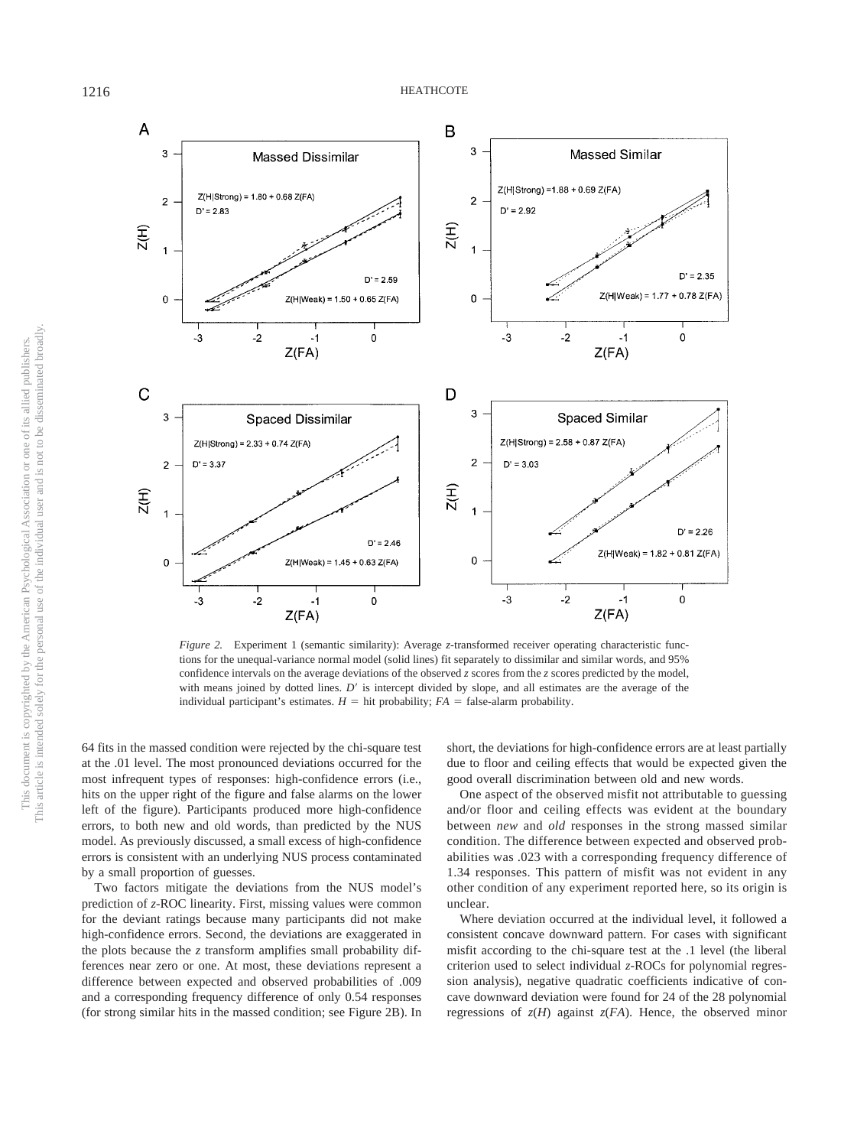

*Figure 2.* Experiment 1 (semantic similarity): Average *z*-transformed receiver operating characteristic functions for the unequal-variance normal model (solid lines) fit separately to dissimilar and similar words, and 95% confidence intervals on the average deviations of the observed *z* scores from the *z* scores predicted by the model, with means joined by dotted lines. *D'* is intercept divided by slope, and all estimates are the average of the individual participant's estimates.  $H =$  hit probability;  $FA =$  false-alarm probability.

64 fits in the massed condition were rejected by the chi-square test at the .01 level. The most pronounced deviations occurred for the most infrequent types of responses: high-confidence errors (i.e., hits on the upper right of the figure and false alarms on the lower left of the figure). Participants produced more high-confidence errors, to both new and old words, than predicted by the NUS model. As previously discussed, a small excess of high-confidence errors is consistent with an underlying NUS process contaminated by a small proportion of guesses.

Two factors mitigate the deviations from the NUS model's prediction of *z*-ROC linearity. First, missing values were common for the deviant ratings because many participants did not make high-confidence errors. Second, the deviations are exaggerated in the plots because the *z* transform amplifies small probability differences near zero or one. At most, these deviations represent a difference between expected and observed probabilities of .009 and a corresponding frequency difference of only 0.54 responses (for strong similar hits in the massed condition; see Figure 2B). In short, the deviations for high-confidence errors are at least partially due to floor and ceiling effects that would be expected given the good overall discrimination between old and new words.

One aspect of the observed misfit not attributable to guessing and/or floor and ceiling effects was evident at the boundary between *new* and *old* responses in the strong massed similar condition. The difference between expected and observed probabilities was .023 with a corresponding frequency difference of 1.34 responses. This pattern of misfit was not evident in any other condition of any experiment reported here, so its origin is unclear.

Where deviation occurred at the individual level, it followed a consistent concave downward pattern. For cases with significant misfit according to the chi-square test at the .1 level (the liberal criterion used to select individual *z*-ROCs for polynomial regression analysis), negative quadratic coefficients indicative of concave downward deviation were found for 24 of the 28 polynomial regressions of  $z(H)$  against  $z(FA)$ . Hence, the observed minor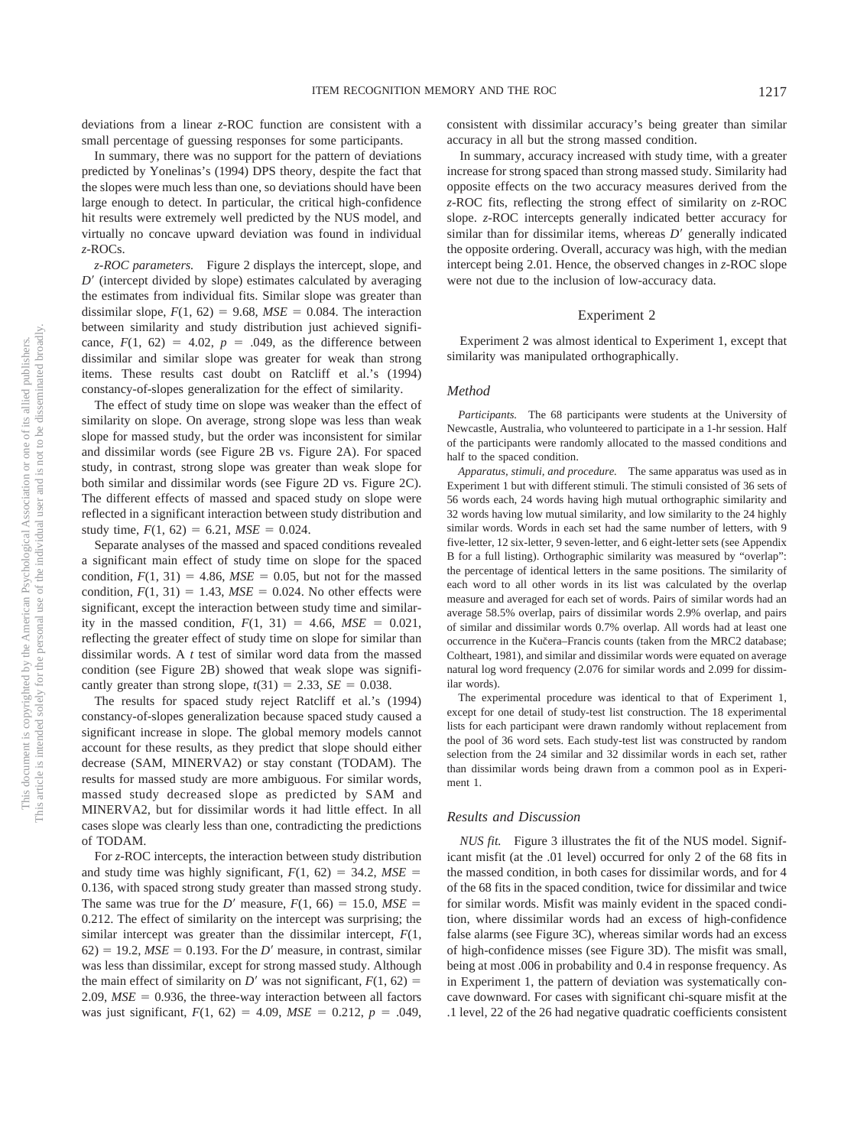deviations from a linear *z*-ROC function are consistent with a small percentage of guessing responses for some participants.

In summary, there was no support for the pattern of deviations predicted by Yonelinas's (1994) DPS theory, despite the fact that the slopes were much less than one, so deviations should have been large enough to detect. In particular, the critical high-confidence hit results were extremely well predicted by the NUS model, and virtually no concave upward deviation was found in individual *z*-ROCs.

*z-ROC parameters.* Figure 2 displays the intercept, slope, and D' (intercept divided by slope) estimates calculated by averaging the estimates from individual fits. Similar slope was greater than dissimilar slope,  $F(1, 62) = 9.68$ ,  $MSE = 0.084$ . The interaction between similarity and study distribution just achieved significance,  $F(1, 62) = 4.02$ ,  $p = .049$ , as the difference between dissimilar and similar slope was greater for weak than strong items. These results cast doubt on Ratcliff et al.'s (1994) constancy-of-slopes generalization for the effect of similarity.

The effect of study time on slope was weaker than the effect of similarity on slope. On average, strong slope was less than weak slope for massed study, but the order was inconsistent for similar and dissimilar words (see Figure 2B vs. Figure 2A). For spaced study, in contrast, strong slope was greater than weak slope for both similar and dissimilar words (see Figure 2D vs. Figure 2C). The different effects of massed and spaced study on slope were reflected in a significant interaction between study distribution and study time,  $F(1, 62) = 6.21$ ,  $MSE = 0.024$ .

Separate analyses of the massed and spaced conditions revealed a significant main effect of study time on slope for the spaced condition,  $F(1, 31) = 4.86$ ,  $MSE = 0.05$ , but not for the massed condition,  $F(1, 31) = 1.43$ ,  $MSE = 0.024$ . No other effects were significant, except the interaction between study time and similarity in the massed condition,  $F(1, 31) = 4.66$ ,  $MSE = 0.021$ , reflecting the greater effect of study time on slope for similar than dissimilar words. A *t* test of similar word data from the massed condition (see Figure 2B) showed that weak slope was significantly greater than strong slope,  $t(31) = 2.33$ ,  $SE = 0.038$ .

The results for spaced study reject Ratcliff et al.'s (1994) constancy-of-slopes generalization because spaced study caused a significant increase in slope. The global memory models cannot account for these results, as they predict that slope should either decrease (SAM, MINERVA2) or stay constant (TODAM). The results for massed study are more ambiguous. For similar words, massed study decreased slope as predicted by SAM and MINERVA2, but for dissimilar words it had little effect. In all cases slope was clearly less than one, contradicting the predictions of TODAM.

For *z*-ROC intercepts, the interaction between study distribution and study time was highly significant,  $F(1, 62) = 34.2$ ,  $MSE =$ 0.136, with spaced strong study greater than massed strong study. The same was true for the *D'* measure,  $F(1, 66) = 15.0$ ,  $MSE =$ 0.212. The effect of similarity on the intercept was surprising; the similar intercept was greater than the dissimilar intercept, *F*(1,  $62$ ) = 19.2,  $MSE = 0.193$ . For the *D'* measure, in contrast, similar was less than dissimilar, except for strong massed study. Although the main effect of similarity on *D'* was not significant,  $F(1, 62) =$ 2.09,  $MSE = 0.936$ , the three-way interaction between all factors was just significant,  $F(1, 62) = 4.09$ ,  $MSE = 0.212$ ,  $p = .049$ ,

consistent with dissimilar accuracy's being greater than similar accuracy in all but the strong massed condition.

In summary, accuracy increased with study time, with a greater increase for strong spaced than strong massed study. Similarity had opposite effects on the two accuracy measures derived from the *z*-ROC fits, reflecting the strong effect of similarity on *z*-ROC slope. *z*-ROC intercepts generally indicated better accuracy for similar than for dissimilar items, whereas  $D'$  generally indicated the opposite ordering. Overall, accuracy was high, with the median intercept being 2.01. Hence, the observed changes in *z*-ROC slope were not due to the inclusion of low-accuracy data.

#### Experiment 2

Experiment 2 was almost identical to Experiment 1, except that similarity was manipulated orthographically.

#### *Method*

*Participants.* The 68 participants were students at the University of Newcastle, Australia, who volunteered to participate in a 1-hr session. Half of the participants were randomly allocated to the massed conditions and half to the spaced condition.

*Apparatus, stimuli, and procedure.* The same apparatus was used as in Experiment 1 but with different stimuli. The stimuli consisted of 36 sets of 56 words each, 24 words having high mutual orthographic similarity and 32 words having low mutual similarity, and low similarity to the 24 highly similar words. Words in each set had the same number of letters, with 9 five-letter, 12 six-letter, 9 seven-letter, and 6 eight-letter sets (see Appendix B for a full listing). Orthographic similarity was measured by "overlap": the percentage of identical letters in the same positions. The similarity of each word to all other words in its list was calculated by the overlap measure and averaged for each set of words. Pairs of similar words had an average 58.5% overlap, pairs of dissimilar words 2.9% overlap, and pairs of similar and dissimilar words 0.7% overlap. All words had at least one occurrence in the Kučera–Francis counts (taken from the MRC2 database; Coltheart, 1981), and similar and dissimilar words were equated on average natural log word frequency (2.076 for similar words and 2.099 for dissimilar words).

The experimental procedure was identical to that of Experiment 1, except for one detail of study-test list construction. The 18 experimental lists for each participant were drawn randomly without replacement from the pool of 36 word sets. Each study-test list was constructed by random selection from the 24 similar and 32 dissimilar words in each set, rather than dissimilar words being drawn from a common pool as in Experiment 1.

#### *Results and Discussion*

*NUS fit.* Figure 3 illustrates the fit of the NUS model. Significant misfit (at the .01 level) occurred for only 2 of the 68 fits in the massed condition, in both cases for dissimilar words, and for 4 of the 68 fits in the spaced condition, twice for dissimilar and twice for similar words. Misfit was mainly evident in the spaced condition, where dissimilar words had an excess of high-confidence false alarms (see Figure 3C), whereas similar words had an excess of high-confidence misses (see Figure 3D). The misfit was small, being at most .006 in probability and 0.4 in response frequency. As in Experiment 1, the pattern of deviation was systematically concave downward. For cases with significant chi-square misfit at the .1 level, 22 of the 26 had negative quadratic coefficients consistent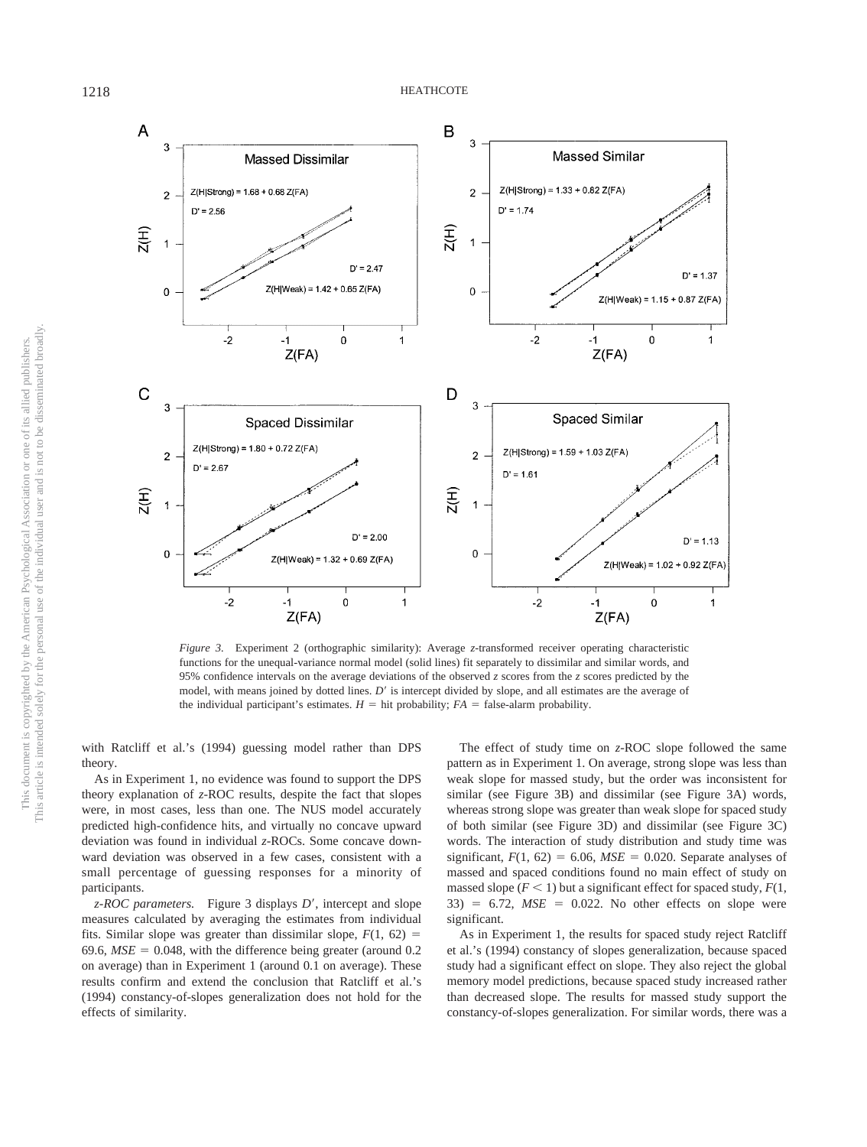

*Figure 3.* Experiment 2 (orthographic similarity): Average *z*-transformed receiver operating characteristic functions for the unequal-variance normal model (solid lines) fit separately to dissimilar and similar words, and 95% confidence intervals on the average deviations of the observed *z* scores from the *z* scores predicted by the model, with means joined by dotted lines. *D'* is intercept divided by slope, and all estimates are the average of the individual participant's estimates.  $H =$  hit probability;  $FA =$  false-alarm probability.

with Ratcliff et al.'s (1994) guessing model rather than DPS theory.

As in Experiment 1, no evidence was found to support the DPS theory explanation of *z*-ROC results, despite the fact that slopes were, in most cases, less than one. The NUS model accurately predicted high-confidence hits, and virtually no concave upward deviation was found in individual *z*-ROCs. Some concave downward deviation was observed in a few cases, consistent with a small percentage of guessing responses for a minority of participants.

*z-ROC parameters.* Figure 3 displays *D*-, intercept and slope measures calculated by averaging the estimates from individual fits. Similar slope was greater than dissimilar slope,  $F(1, 62) =$ 69.6,  $MSE = 0.048$ , with the difference being greater (around 0.2) on average) than in Experiment 1 (around 0.1 on average). These results confirm and extend the conclusion that Ratcliff et al.'s (1994) constancy-of-slopes generalization does not hold for the effects of similarity.

The effect of study time on *z*-ROC slope followed the same pattern as in Experiment 1. On average, strong slope was less than weak slope for massed study, but the order was inconsistent for similar (see Figure 3B) and dissimilar (see Figure 3A) words, whereas strong slope was greater than weak slope for spaced study of both similar (see Figure 3D) and dissimilar (see Figure 3C) words. The interaction of study distribution and study time was significant,  $F(1, 62) = 6.06$ ,  $MSE = 0.020$ . Separate analyses of massed and spaced conditions found no main effect of study on massed slope  $(F < 1)$  but a significant effect for spaced study,  $F(1)$ ,  $33) = 6.72$ ,  $MSE = 0.022$ . No other effects on slope were significant.

As in Experiment 1, the results for spaced study reject Ratcliff et al.'s (1994) constancy of slopes generalization, because spaced study had a significant effect on slope. They also reject the global memory model predictions, because spaced study increased rather than decreased slope. The results for massed study support the constancy-of-slopes generalization. For similar words, there was a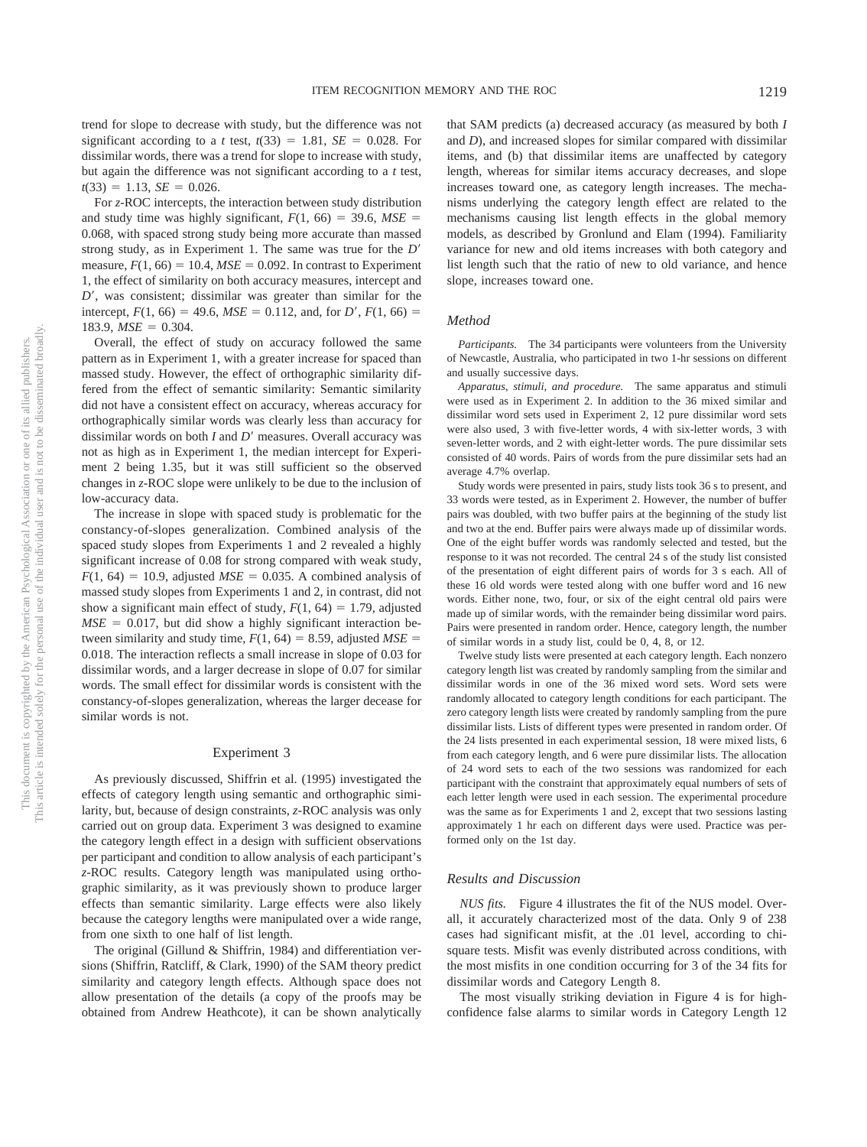trend for slope to decrease with study, but the difference was not significant according to a *t* test,  $t(33) = 1.81$ ,  $SE = 0.028$ . For dissimilar words, there was a trend for slope to increase with study, but again the difference was not significant according to a *t* test,  $t(33) = 1.13$ , *SE* = 0.026.

For *z*-ROC intercepts, the interaction between study distribution and study time was highly significant,  $F(1, 66) = 39.6$ ,  $MSE =$ 0.068, with spaced strong study being more accurate than massed strong study, as in Experiment 1. The same was true for the *D'* measure,  $F(1, 66) = 10.4$ ,  $MSE = 0.092$ . In contrast to Experiment 1, the effect of similarity on both accuracy measures, intercept and D', was consistent; dissimilar was greater than similar for the intercept,  $F(1, 66) = 49.6$ ,  $MSE = 0.112$ , and, for *D'*,  $F(1, 66) =$  $183.9$ ,  $MSE = 0.304$ .

Overall, the effect of study on accuracy followed the same pattern as in Experiment 1, with a greater increase for spaced than massed study. However, the effect of orthographic similarity differed from the effect of semantic similarity: Semantic similarity did not have a consistent effect on accuracy, whereas accuracy for orthographically similar words was clearly less than accuracy for dissimilar words on both *I* and *D'* measures. Overall accuracy was not as high as in Experiment 1, the median intercept for Experiment 2 being 1.35, but it was still sufficient so the observed changes in *z*-ROC slope were unlikely to be due to the inclusion of low-accuracy data.

The increase in slope with spaced study is problematic for the constancy-of-slopes generalization. Combined analysis of the spaced study slopes from Experiments 1 and 2 revealed a highly significant increase of 0.08 for strong compared with weak study,  $F(1, 64) = 10.9$ , adjusted *MSE* = 0.035. A combined analysis of massed study slopes from Experiments 1 and 2, in contrast, did not show a significant main effect of study,  $F(1, 64) = 1.79$ , adjusted  $MSE = 0.017$ , but did show a highly significant interaction between similarity and study time,  $F(1, 64) = 8.59$ , adjusted  $MSE =$ 0.018. The interaction reflects a small increase in slope of 0.03 for dissimilar words, and a larger decrease in slope of 0.07 for similar words. The small effect for dissimilar words is consistent with the constancy-of-slopes generalization, whereas the larger decease for similar words is not.

#### Experiment 3

As previously discussed, Shiffrin et al. (1995) investigated the effects of category length using semantic and orthographic similarity, but, because of design constraints, *z*-ROC analysis was only carried out on group data. Experiment 3 was designed to examine the category length effect in a design with sufficient observations per participant and condition to allow analysis of each participant's *z*-ROC results. Category length was manipulated using orthographic similarity, as it was previously shown to produce larger effects than semantic similarity. Large effects were also likely because the category lengths were manipulated over a wide range, from one sixth to one half of list length.

The original (Gillund & Shiffrin, 1984) and differentiation versions (Shiffrin, Ratcliff, & Clark, 1990) of the SAM theory predict similarity and category length effects. Although space does not allow presentation of the details (a copy of the proofs may be obtained from Andrew Heathcote), it can be shown analytically that SAM predicts (a) decreased accuracy (as measured by both *I* and *D*), and increased slopes for similar compared with dissimilar items, and (b) that dissimilar items are unaffected by category length, whereas for similar items accuracy decreases, and slope increases toward one, as category length increases. The mechanisms underlying the category length effect are related to the mechanisms causing list length effects in the global memory models, as described by Gronlund and Elam (1994). Familiarity variance for new and old items increases with both category and list length such that the ratio of new to old variance, and hence slope, increases toward one.

### *Method*

*Participants.* The 34 participants were volunteers from the University of Newcastle, Australia, who participated in two 1-hr sessions on different and usually successive days.

*Apparatus, stimuli, and procedure.* The same apparatus and stimuli were used as in Experiment 2. In addition to the 36 mixed similar and dissimilar word sets used in Experiment 2, 12 pure dissimilar word sets were also used, 3 with five-letter words, 4 with six-letter words, 3 with seven-letter words, and 2 with eight-letter words. The pure dissimilar sets consisted of 40 words. Pairs of words from the pure dissimilar sets had an average 4.7% overlap.

Study words were presented in pairs, study lists took 36 s to present, and 33 words were tested, as in Experiment 2. However, the number of buffer pairs was doubled, with two buffer pairs at the beginning of the study list and two at the end. Buffer pairs were always made up of dissimilar words. One of the eight buffer words was randomly selected and tested, but the response to it was not recorded. The central 24 s of the study list consisted of the presentation of eight different pairs of words for 3 s each. All of these 16 old words were tested along with one buffer word and 16 new words. Either none, two, four, or six of the eight central old pairs were made up of similar words, with the remainder being dissimilar word pairs. Pairs were presented in random order. Hence, category length, the number of similar words in a study list, could be 0, 4, 8, or 12.

Twelve study lists were presented at each category length. Each nonzero category length list was created by randomly sampling from the similar and dissimilar words in one of the 36 mixed word sets. Word sets were randomly allocated to category length conditions for each participant. The zero category length lists were created by randomly sampling from the pure dissimilar lists. Lists of different types were presented in random order. Of the 24 lists presented in each experimental session, 18 were mixed lists, 6 from each category length, and 6 were pure dissimilar lists. The allocation of 24 word sets to each of the two sessions was randomized for each participant with the constraint that approximately equal numbers of sets of each letter length were used in each session. The experimental procedure was the same as for Experiments 1 and 2, except that two sessions lasting approximately 1 hr each on different days were used. Practice was performed only on the 1st day.

#### *Results and Discussion*

*NUS fits.* Figure 4 illustrates the fit of the NUS model. Overall, it accurately characterized most of the data. Only 9 of 238 cases had significant misfit, at the .01 level, according to chisquare tests. Misfit was evenly distributed across conditions, with the most misfits in one condition occurring for 3 of the 34 fits for dissimilar words and Category Length 8.

The most visually striking deviation in Figure 4 is for highconfidence false alarms to similar words in Category Length 12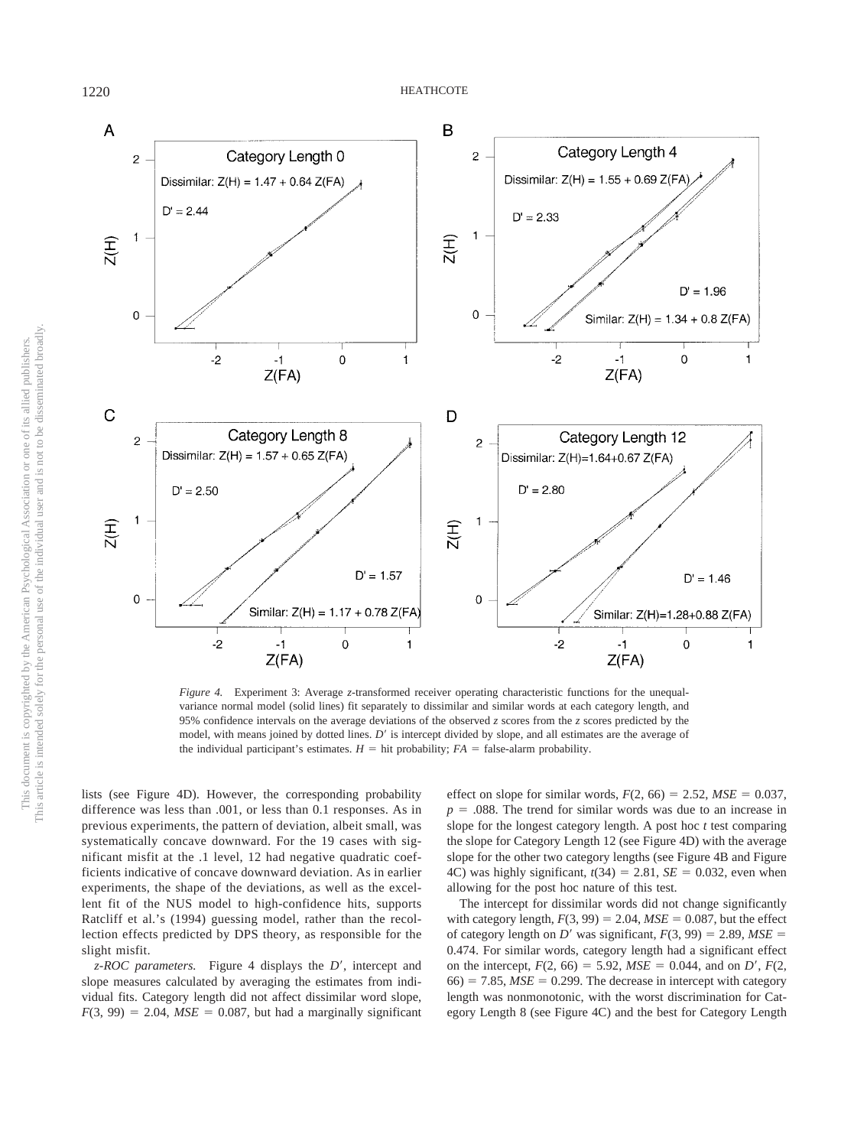

*Figure 4.* Experiment 3: Average *z*-transformed receiver operating characteristic functions for the unequalvariance normal model (solid lines) fit separately to dissimilar and similar words at each category length, and 95% confidence intervals on the average deviations of the observed *z* scores from the *z* scores predicted by the model, with means joined by dotted lines. *D'* is intercept divided by slope, and all estimates are the average of the individual participant's estimates.  $H =$  hit probability;  $FA =$  false-alarm probability.

lists (see Figure 4D). However, the corresponding probability difference was less than .001, or less than 0.1 responses. As in previous experiments, the pattern of deviation, albeit small, was systematically concave downward. For the 19 cases with significant misfit at the .1 level, 12 had negative quadratic coefficients indicative of concave downward deviation. As in earlier experiments, the shape of the deviations, as well as the excellent fit of the NUS model to high-confidence hits, supports Ratcliff et al.'s (1994) guessing model, rather than the recollection effects predicted by DPS theory, as responsible for the slight misfit.

*z-ROC parameters.* Figure 4 displays the *D*-, intercept and slope measures calculated by averaging the estimates from individual fits. Category length did not affect dissimilar word slope,  $F(3, 99) = 2.04$ , *MSE* = 0.087, but had a marginally significant effect on slope for similar words,  $F(2, 66) = 2.52$ ,  $MSE = 0.037$ ,  $p = .088$ . The trend for similar words was due to an increase in slope for the longest category length. A post hoc *t* test comparing the slope for Category Length 12 (see Figure 4D) with the average slope for the other two category lengths (see Figure 4B and Figure 4C) was highly significant,  $t(34) = 2.81$ ,  $SE = 0.032$ , even when allowing for the post hoc nature of this test.

The intercept for dissimilar words did not change significantly with category length,  $F(3, 99) = 2.04$ ,  $MSE = 0.087$ , but the effect of category length on *D'* was significant,  $F(3, 99) = 2.89$ ,  $MSE =$ 0.474. For similar words, category length had a significant effect on the intercept,  $F(2, 66) = 5.92$ ,  $MSE = 0.044$ , and on *D'*,  $F(2, 66) = 5.92$  $66$ ) = 7.85,  $MSE = 0.299$ . The decrease in intercept with category length was nonmonotonic, with the worst discrimination for Category Length 8 (see Figure 4C) and the best for Category Length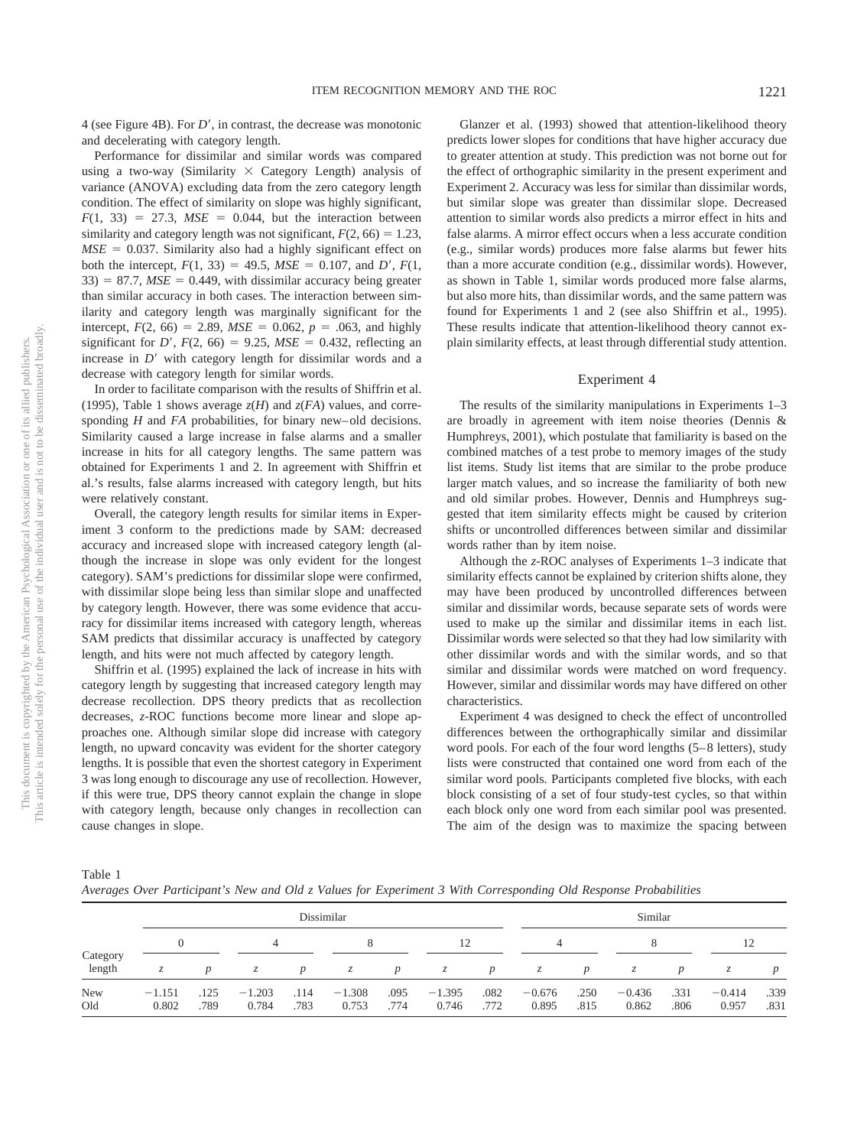4 (see Figure 4B). For *D'*, in contrast, the decrease was monotonic and decelerating with category length.

Performance for dissimilar and similar words was compared using a two-way (Similarity  $\times$  Category Length) analysis of variance (ANOVA) excluding data from the zero category length condition. The effect of similarity on slope was highly significant,  $F(1, 33) = 27.3$ ,  $MSE = 0.044$ , but the interaction between similarity and category length was not significant,  $F(2, 66) = 1.23$ ,  $MSE = 0.037$ . Similarity also had a highly significant effect on both the intercept,  $F(1, 33) = 49.5$ ,  $MSE = 0.107$ , and *D'*,  $F(1, 33) = 49.5$  $33$ ) = 87.7, *MSE* = 0.449, with dissimilar accuracy being greater than similar accuracy in both cases. The interaction between similarity and category length was marginally significant for the intercept,  $F(2, 66) = 2.89$ ,  $MSE = 0.062$ ,  $p = .063$ , and highly significant for *D'*,  $F(2, 66) = 9.25$ ,  $MSE = 0.432$ , reflecting an increase in  $D'$  with category length for dissimilar words and a decrease with category length for similar words.

In order to facilitate comparison with the results of Shiffrin et al. (1995), Table 1 shows average  $z(H)$  and  $z(FA)$  values, and corresponding *H* and *FA* probabilities, for binary new–old decisions. Similarity caused a large increase in false alarms and a smaller increase in hits for all category lengths. The same pattern was obtained for Experiments 1 and 2. In agreement with Shiffrin et al.'s results, false alarms increased with category length, but hits were relatively constant.

Overall, the category length results for similar items in Experiment 3 conform to the predictions made by SAM: decreased accuracy and increased slope with increased category length (although the increase in slope was only evident for the longest category). SAM's predictions for dissimilar slope were confirmed, with dissimilar slope being less than similar slope and unaffected by category length. However, there was some evidence that accuracy for dissimilar items increased with category length, whereas SAM predicts that dissimilar accuracy is unaffected by category length, and hits were not much affected by category length.

Shiffrin et al. (1995) explained the lack of increase in hits with category length by suggesting that increased category length may decrease recollection. DPS theory predicts that as recollection decreases, *z*-ROC functions become more linear and slope approaches one. Although similar slope did increase with category length, no upward concavity was evident for the shorter category lengths. It is possible that even the shortest category in Experiment 3 was long enough to discourage any use of recollection. However, if this were true, DPS theory cannot explain the change in slope with category length, because only changes in recollection can cause changes in slope.

Glanzer et al. (1993) showed that attention-likelihood theory predicts lower slopes for conditions that have higher accuracy due to greater attention at study. This prediction was not borne out for the effect of orthographic similarity in the present experiment and Experiment 2. Accuracy was less for similar than dissimilar words, but similar slope was greater than dissimilar slope. Decreased attention to similar words also predicts a mirror effect in hits and false alarms. A mirror effect occurs when a less accurate condition (e.g., similar words) produces more false alarms but fewer hits than a more accurate condition (e.g., dissimilar words). However, as shown in Table 1, similar words produced more false alarms, but also more hits, than dissimilar words, and the same pattern was found for Experiments 1 and 2 (see also Shiffrin et al., 1995). These results indicate that attention-likelihood theory cannot explain similarity effects, at least through differential study attention.

#### Experiment 4

The results of the similarity manipulations in Experiments 1–3 are broadly in agreement with item noise theories (Dennis & Humphreys, 2001), which postulate that familiarity is based on the combined matches of a test probe to memory images of the study list items. Study list items that are similar to the probe produce larger match values, and so increase the familiarity of both new and old similar probes. However, Dennis and Humphreys suggested that item similarity effects might be caused by criterion shifts or uncontrolled differences between similar and dissimilar words rather than by item noise.

Although the *z*-ROC analyses of Experiments 1–3 indicate that similarity effects cannot be explained by criterion shifts alone, they may have been produced by uncontrolled differences between similar and dissimilar words, because separate sets of words were used to make up the similar and dissimilar items in each list. Dissimilar words were selected so that they had low similarity with other dissimilar words and with the similar words, and so that similar and dissimilar words were matched on word frequency. However, similar and dissimilar words may have differed on other characteristics.

Experiment 4 was designed to check the effect of uncontrolled differences between the orthographically similar and dissimilar word pools. For each of the four word lengths (5–8 letters), study lists were constructed that contained one word from each of the similar word pools. Participants completed five blocks, with each block consisting of a set of four study-test cycles, so that within each block only one word from each similar pool was presented. The aim of the design was to maximize the spacing between

Table 1

*Averages Over Participant's New and Old z Values for Experiment 3 With Corresponding Old Response Probabilities*

|                    |                   | Dissimilar       |                   |                  |                   |                  |                   |                  | Similar           |              |                   |                  |                   |              |
|--------------------|-------------------|------------------|-------------------|------------------|-------------------|------------------|-------------------|------------------|-------------------|--------------|-------------------|------------------|-------------------|--------------|
|                    | $\theta$          |                  | 4                 |                  | 8                 |                  |                   |                  | $\overline{4}$    |              | 8                 |                  |                   |              |
| Category<br>length | $\sim$            | $\boldsymbol{D}$ | z                 | $\boldsymbol{p}$ | z                 | $\boldsymbol{p}$ | Z.                | $\boldsymbol{p}$ | z                 | p            | z                 | $\boldsymbol{D}$ | $\sim$            |              |
| <b>New</b><br>Old  | $-1.151$<br>0.802 | .125<br>.789     | $-1.203$<br>0.784 | .114<br>.783     | $-1.308$<br>0.753 | .095<br>.774     | $-1.395$<br>0.746 | .082<br>.772     | $-0.676$<br>0.895 | .250<br>.815 | $-0.436$<br>0.862 | .331<br>.806     | $-0.414$<br>0.957 | .339<br>.831 |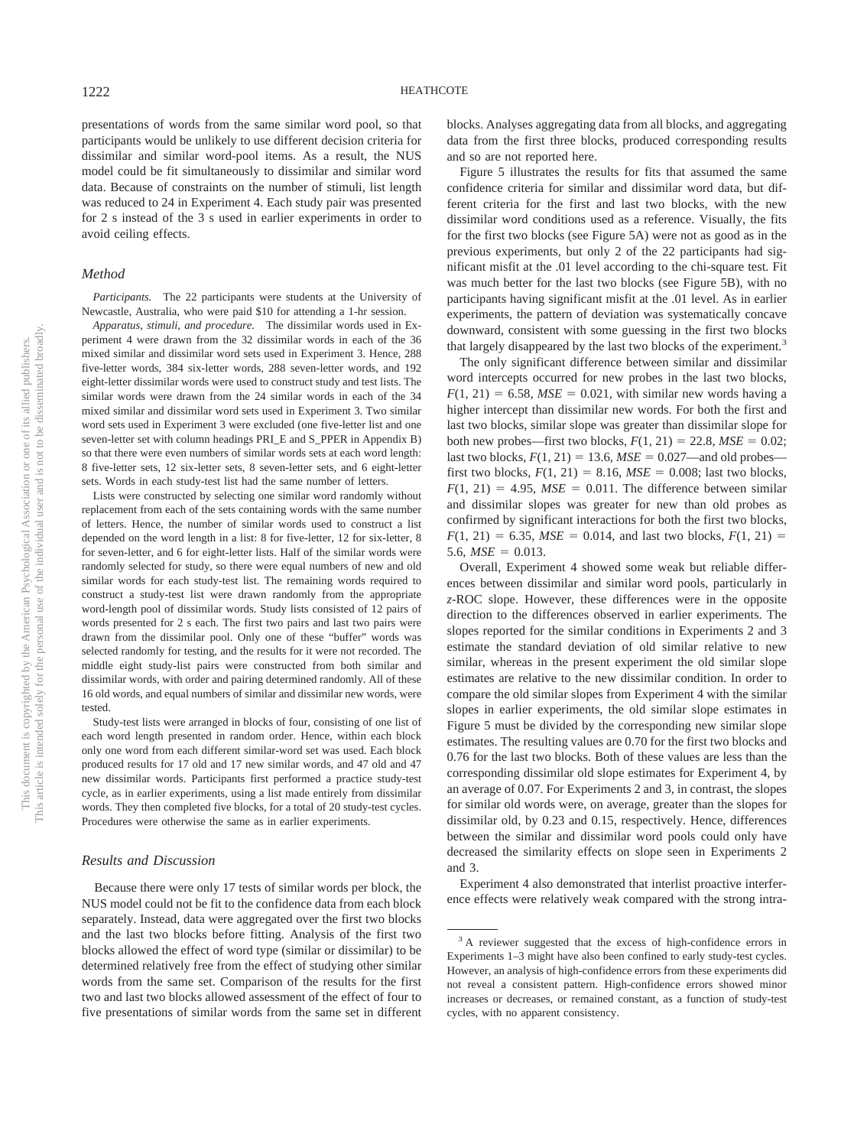presentations of words from the same similar word pool, so that participants would be unlikely to use different decision criteria for dissimilar and similar word-pool items. As a result, the NUS model could be fit simultaneously to dissimilar and similar word data. Because of constraints on the number of stimuli, list length was reduced to 24 in Experiment 4. Each study pair was presented for 2 s instead of the 3 s used in earlier experiments in order to avoid ceiling effects.

#### *Method*

*Participants.* The 22 participants were students at the University of Newcastle, Australia, who were paid \$10 for attending a 1-hr session.

*Apparatus, stimuli, and procedure.* The dissimilar words used in Experiment 4 were drawn from the 32 dissimilar words in each of the 36 mixed similar and dissimilar word sets used in Experiment 3. Hence, 288 five-letter words, 384 six-letter words, 288 seven-letter words, and 192 eight-letter dissimilar words were used to construct study and test lists. The similar words were drawn from the 24 similar words in each of the 34 mixed similar and dissimilar word sets used in Experiment 3. Two similar word sets used in Experiment 3 were excluded (one five-letter list and one seven-letter set with column headings PRI\_E and S\_PPER in Appendix B) so that there were even numbers of similar words sets at each word length: 8 five-letter sets, 12 six-letter sets, 8 seven-letter sets, and 6 eight-letter sets. Words in each study-test list had the same number of letters.

Lists were constructed by selecting one similar word randomly without replacement from each of the sets containing words with the same number of letters. Hence, the number of similar words used to construct a list depended on the word length in a list: 8 for five-letter, 12 for six-letter, 8 for seven-letter, and 6 for eight-letter lists. Half of the similar words were randomly selected for study, so there were equal numbers of new and old similar words for each study-test list. The remaining words required to construct a study-test list were drawn randomly from the appropriate word-length pool of dissimilar words. Study lists consisted of 12 pairs of words presented for 2 s each. The first two pairs and last two pairs were drawn from the dissimilar pool. Only one of these "buffer" words was selected randomly for testing, and the results for it were not recorded. The middle eight study-list pairs were constructed from both similar and dissimilar words, with order and pairing determined randomly. All of these 16 old words, and equal numbers of similar and dissimilar new words, were tested.

Study-test lists were arranged in blocks of four, consisting of one list of each word length presented in random order. Hence, within each block only one word from each different similar-word set was used. Each block produced results for 17 old and 17 new similar words, and 47 old and 47 new dissimilar words. Participants first performed a practice study-test cycle, as in earlier experiments, using a list made entirely from dissimilar words. They then completed five blocks, for a total of 20 study-test cycles. Procedures were otherwise the same as in earlier experiments.

## *Results and Discussion*

Because there were only 17 tests of similar words per block, the NUS model could not be fit to the confidence data from each block separately. Instead, data were aggregated over the first two blocks and the last two blocks before fitting. Analysis of the first two blocks allowed the effect of word type (similar or dissimilar) to be determined relatively free from the effect of studying other similar words from the same set. Comparison of the results for the first two and last two blocks allowed assessment of the effect of four to five presentations of similar words from the same set in different blocks. Analyses aggregating data from all blocks, and aggregating data from the first three blocks, produced corresponding results and so are not reported here.

Figure 5 illustrates the results for fits that assumed the same confidence criteria for similar and dissimilar word data, but different criteria for the first and last two blocks, with the new dissimilar word conditions used as a reference. Visually, the fits for the first two blocks (see Figure 5A) were not as good as in the previous experiments, but only 2 of the 22 participants had significant misfit at the .01 level according to the chi-square test. Fit was much better for the last two blocks (see Figure 5B), with no participants having significant misfit at the .01 level. As in earlier experiments, the pattern of deviation was systematically concave downward, consistent with some guessing in the first two blocks that largely disappeared by the last two blocks of the experiment.<sup>3</sup>

The only significant difference between similar and dissimilar word intercepts occurred for new probes in the last two blocks,  $F(1, 21) = 6.58$ ,  $MSE = 0.021$ , with similar new words having a higher intercept than dissimilar new words. For both the first and last two blocks, similar slope was greater than dissimilar slope for both new probes—first two blocks,  $F(1, 21) = 22.8$ ,  $MSE = 0.02$ ; last two blocks,  $F(1, 21) = 13.6$ ,  $MSE = 0.027$ —and old probes first two blocks,  $F(1, 21) = 8.16$ ,  $MSE = 0.008$ ; last two blocks,  $F(1, 21) = 4.95$ ,  $MSE = 0.011$ . The difference between similar and dissimilar slopes was greater for new than old probes as confirmed by significant interactions for both the first two blocks,  $F(1, 21) = 6.35$ ,  $MSE = 0.014$ , and last two blocks,  $F(1, 21) =$  $5.6$ ,  $MSE = 0.013$ .

Overall, Experiment 4 showed some weak but reliable differences between dissimilar and similar word pools, particularly in *z*-ROC slope. However, these differences were in the opposite direction to the differences observed in earlier experiments. The slopes reported for the similar conditions in Experiments 2 and 3 estimate the standard deviation of old similar relative to new similar, whereas in the present experiment the old similar slope estimates are relative to the new dissimilar condition. In order to compare the old similar slopes from Experiment 4 with the similar slopes in earlier experiments, the old similar slope estimates in Figure 5 must be divided by the corresponding new similar slope estimates. The resulting values are 0.70 for the first two blocks and 0.76 for the last two blocks. Both of these values are less than the corresponding dissimilar old slope estimates for Experiment 4, by an average of 0.07. For Experiments 2 and 3, in contrast, the slopes for similar old words were, on average, greater than the slopes for dissimilar old, by 0.23 and 0.15, respectively. Hence, differences between the similar and dissimilar word pools could only have decreased the similarity effects on slope seen in Experiments 2 and 3.

Experiment 4 also demonstrated that interlist proactive interference effects were relatively weak compared with the strong intra-

<sup>&</sup>lt;sup>3</sup> A reviewer suggested that the excess of high-confidence errors in Experiments 1–3 might have also been confined to early study-test cycles. However, an analysis of high-confidence errors from these experiments did not reveal a consistent pattern. High-confidence errors showed minor increases or decreases, or remained constant, as a function of study-test cycles, with no apparent consistency.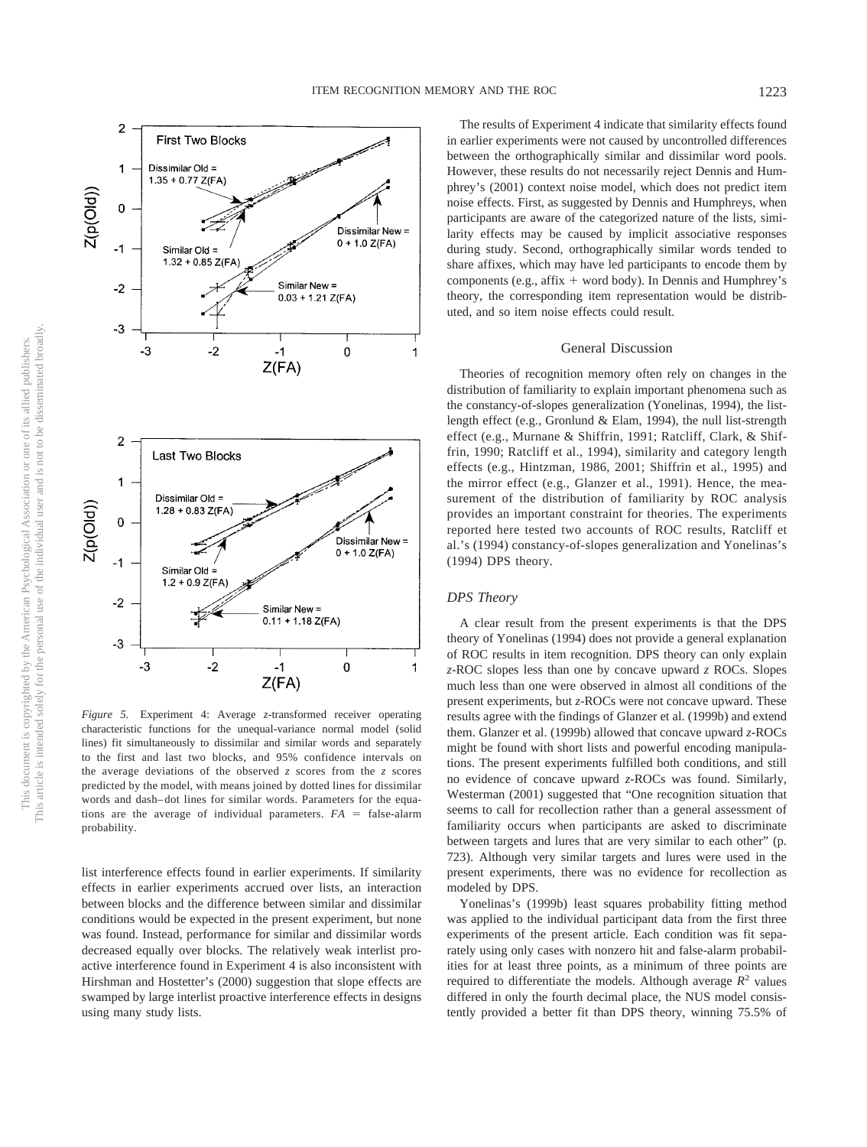

*Figure 5.* Experiment 4: Average *z*-transformed receiver operating characteristic functions for the unequal-variance normal model (solid lines) fit simultaneously to dissimilar and similar words and separately to the first and last two blocks, and 95% confidence intervals on the average deviations of the observed *z* scores from the *z* scores predicted by the model, with means joined by dotted lines for dissimilar words and dash– dot lines for similar words. Parameters for the equations are the average of individual parameters.  $FA = false$ -alarm probability.

list interference effects found in earlier experiments. If similarity effects in earlier experiments accrued over lists, an interaction between blocks and the difference between similar and dissimilar conditions would be expected in the present experiment, but none was found. Instead, performance for similar and dissimilar words decreased equally over blocks. The relatively weak interlist proactive interference found in Experiment 4 is also inconsistent with Hirshman and Hostetter's (2000) suggestion that slope effects are swamped by large interlist proactive interference effects in designs using many study lists.

The results of Experiment 4 indicate that similarity effects found in earlier experiments were not caused by uncontrolled differences between the orthographically similar and dissimilar word pools. However, these results do not necessarily reject Dennis and Humphrey's (2001) context noise model, which does not predict item noise effects. First, as suggested by Dennis and Humphreys, when participants are aware of the categorized nature of the lists, similarity effects may be caused by implicit associative responses during study. Second, orthographically similar words tended to share affixes, which may have led participants to encode them by components (e.g., affix  $+$  word body). In Dennis and Humphrey's theory, the corresponding item representation would be distributed, and so item noise effects could result.

#### General Discussion

Theories of recognition memory often rely on changes in the distribution of familiarity to explain important phenomena such as the constancy-of-slopes generalization (Yonelinas, 1994), the listlength effect (e.g., Gronlund & Elam, 1994), the null list-strength effect (e.g., Murnane & Shiffrin, 1991; Ratcliff, Clark, & Shiffrin, 1990; Ratcliff et al., 1994), similarity and category length effects (e.g., Hintzman, 1986, 2001; Shiffrin et al., 1995) and the mirror effect (e.g., Glanzer et al., 1991). Hence, the measurement of the distribution of familiarity by ROC analysis provides an important constraint for theories. The experiments reported here tested two accounts of ROC results, Ratcliff et al.'s (1994) constancy-of-slopes generalization and Yonelinas's (1994) DPS theory.

#### *DPS Theory*

A clear result from the present experiments is that the DPS theory of Yonelinas (1994) does not provide a general explanation of ROC results in item recognition. DPS theory can only explain *z*-ROC slopes less than one by concave upward *z* ROCs. Slopes much less than one were observed in almost all conditions of the present experiments, but *z*-ROCs were not concave upward. These results agree with the findings of Glanzer et al. (1999b) and extend them. Glanzer et al. (1999b) allowed that concave upward *z*-ROCs might be found with short lists and powerful encoding manipulations. The present experiments fulfilled both conditions, and still no evidence of concave upward *z*-ROCs was found. Similarly, Westerman (2001) suggested that "One recognition situation that seems to call for recollection rather than a general assessment of familiarity occurs when participants are asked to discriminate between targets and lures that are very similar to each other" (p. 723). Although very similar targets and lures were used in the present experiments, there was no evidence for recollection as modeled by DPS.

Yonelinas's (1999b) least squares probability fitting method was applied to the individual participant data from the first three experiments of the present article. Each condition was fit separately using only cases with nonzero hit and false-alarm probabilities for at least three points, as a minimum of three points are required to differentiate the models. Although average  $R^2$  values differed in only the fourth decimal place, the NUS model consistently provided a better fit than DPS theory, winning 75.5% of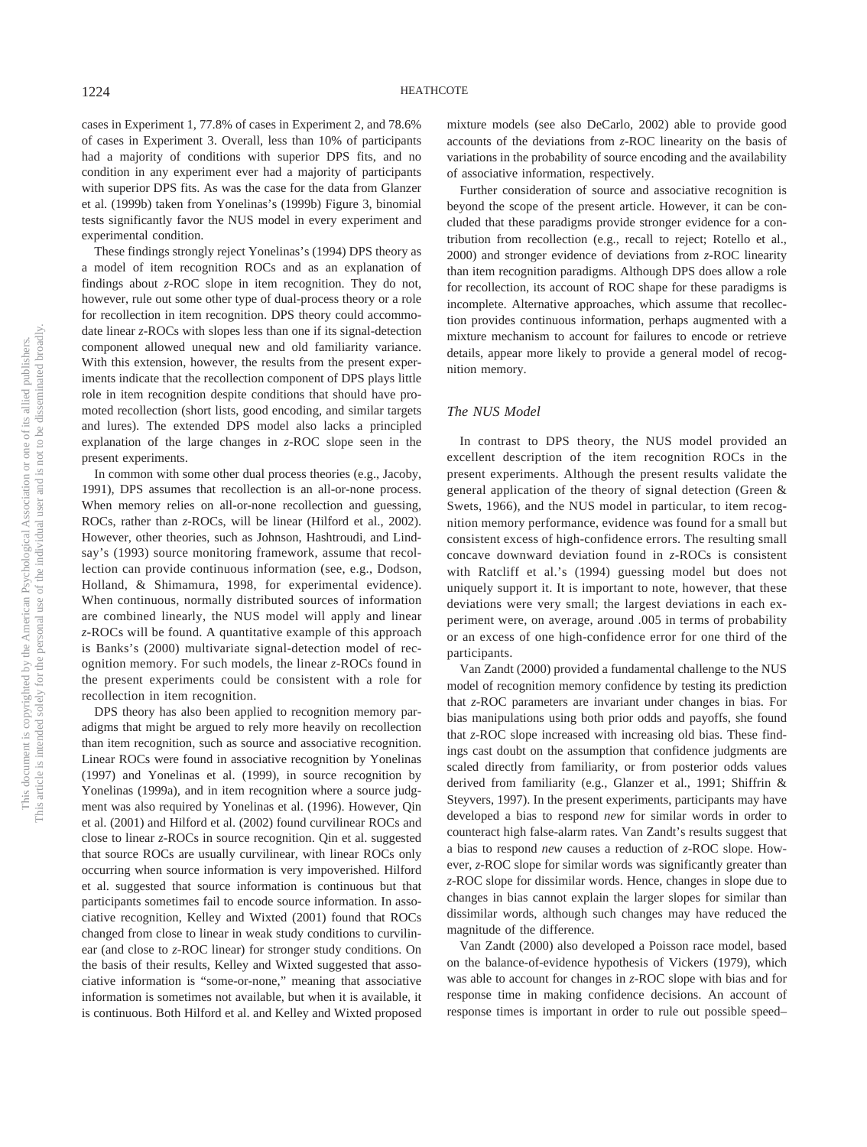cases in Experiment 1, 77.8% of cases in Experiment 2, and 78.6% of cases in Experiment 3. Overall, less than 10% of participants had a majority of conditions with superior DPS fits, and no condition in any experiment ever had a majority of participants with superior DPS fits. As was the case for the data from Glanzer et al. (1999b) taken from Yonelinas's (1999b) Figure 3, binomial tests significantly favor the NUS model in every experiment and experimental condition.

These findings strongly reject Yonelinas's (1994) DPS theory as a model of item recognition ROCs and as an explanation of findings about *z*-ROC slope in item recognition. They do not, however, rule out some other type of dual-process theory or a role for recollection in item recognition. DPS theory could accommodate linear *z*-ROCs with slopes less than one if its signal-detection component allowed unequal new and old familiarity variance. With this extension, however, the results from the present experiments indicate that the recollection component of DPS plays little role in item recognition despite conditions that should have promoted recollection (short lists, good encoding, and similar targets and lures). The extended DPS model also lacks a principled explanation of the large changes in *z*-ROC slope seen in the present experiments.

In common with some other dual process theories (e.g., Jacoby, 1991), DPS assumes that recollection is an all-or-none process. When memory relies on all-or-none recollection and guessing, ROCs, rather than *z*-ROCs, will be linear (Hilford et al., 2002). However, other theories, such as Johnson, Hashtroudi, and Lindsay's (1993) source monitoring framework, assume that recollection can provide continuous information (see, e.g., Dodson, Holland, & Shimamura, 1998, for experimental evidence). When continuous, normally distributed sources of information are combined linearly, the NUS model will apply and linear *z*-ROCs will be found. A quantitative example of this approach is Banks's (2000) multivariate signal-detection model of recognition memory. For such models, the linear *z*-ROCs found in the present experiments could be consistent with a role for recollection in item recognition.

DPS theory has also been applied to recognition memory paradigms that might be argued to rely more heavily on recollection than item recognition, such as source and associative recognition. Linear ROCs were found in associative recognition by Yonelinas (1997) and Yonelinas et al. (1999), in source recognition by Yonelinas (1999a), and in item recognition where a source judgment was also required by Yonelinas et al. (1996). However, Qin et al. (2001) and Hilford et al. (2002) found curvilinear ROCs and close to linear *z*-ROCs in source recognition. Qin et al. suggested that source ROCs are usually curvilinear, with linear ROCs only occurring when source information is very impoverished. Hilford et al. suggested that source information is continuous but that participants sometimes fail to encode source information. In associative recognition, Kelley and Wixted (2001) found that ROCs changed from close to linear in weak study conditions to curvilinear (and close to *z*-ROC linear) for stronger study conditions. On the basis of their results, Kelley and Wixted suggested that associative information is "some-or-none," meaning that associative information is sometimes not available, but when it is available, it is continuous. Both Hilford et al. and Kelley and Wixted proposed

mixture models (see also DeCarlo, 2002) able to provide good accounts of the deviations from *z*-ROC linearity on the basis of variations in the probability of source encoding and the availability of associative information, respectively.

Further consideration of source and associative recognition is beyond the scope of the present article. However, it can be concluded that these paradigms provide stronger evidence for a contribution from recollection (e.g., recall to reject; Rotello et al., 2000) and stronger evidence of deviations from *z*-ROC linearity than item recognition paradigms. Although DPS does allow a role for recollection, its account of ROC shape for these paradigms is incomplete. Alternative approaches, which assume that recollection provides continuous information, perhaps augmented with a mixture mechanism to account for failures to encode or retrieve details, appear more likely to provide a general model of recognition memory.

### *The NUS Model*

In contrast to DPS theory, the NUS model provided an excellent description of the item recognition ROCs in the present experiments. Although the present results validate the general application of the theory of signal detection (Green & Swets, 1966), and the NUS model in particular, to item recognition memory performance, evidence was found for a small but consistent excess of high-confidence errors. The resulting small concave downward deviation found in *z*-ROCs is consistent with Ratcliff et al.'s (1994) guessing model but does not uniquely support it. It is important to note, however, that these deviations were very small; the largest deviations in each experiment were, on average, around .005 in terms of probability or an excess of one high-confidence error for one third of the participants.

Van Zandt (2000) provided a fundamental challenge to the NUS model of recognition memory confidence by testing its prediction that *z*-ROC parameters are invariant under changes in bias. For bias manipulations using both prior odds and payoffs, she found that *z*-ROC slope increased with increasing old bias. These findings cast doubt on the assumption that confidence judgments are scaled directly from familiarity, or from posterior odds values derived from familiarity (e.g., Glanzer et al., 1991; Shiffrin & Steyvers, 1997). In the present experiments, participants may have developed a bias to respond *new* for similar words in order to counteract high false-alarm rates. Van Zandt's results suggest that a bias to respond *new* causes a reduction of *z*-ROC slope. However, *z*-ROC slope for similar words was significantly greater than *z*-ROC slope for dissimilar words. Hence, changes in slope due to changes in bias cannot explain the larger slopes for similar than dissimilar words, although such changes may have reduced the magnitude of the difference.

Van Zandt (2000) also developed a Poisson race model, based on the balance-of-evidence hypothesis of Vickers (1979), which was able to account for changes in *z*-ROC slope with bias and for response time in making confidence decisions. An account of response times is important in order to rule out possible speed–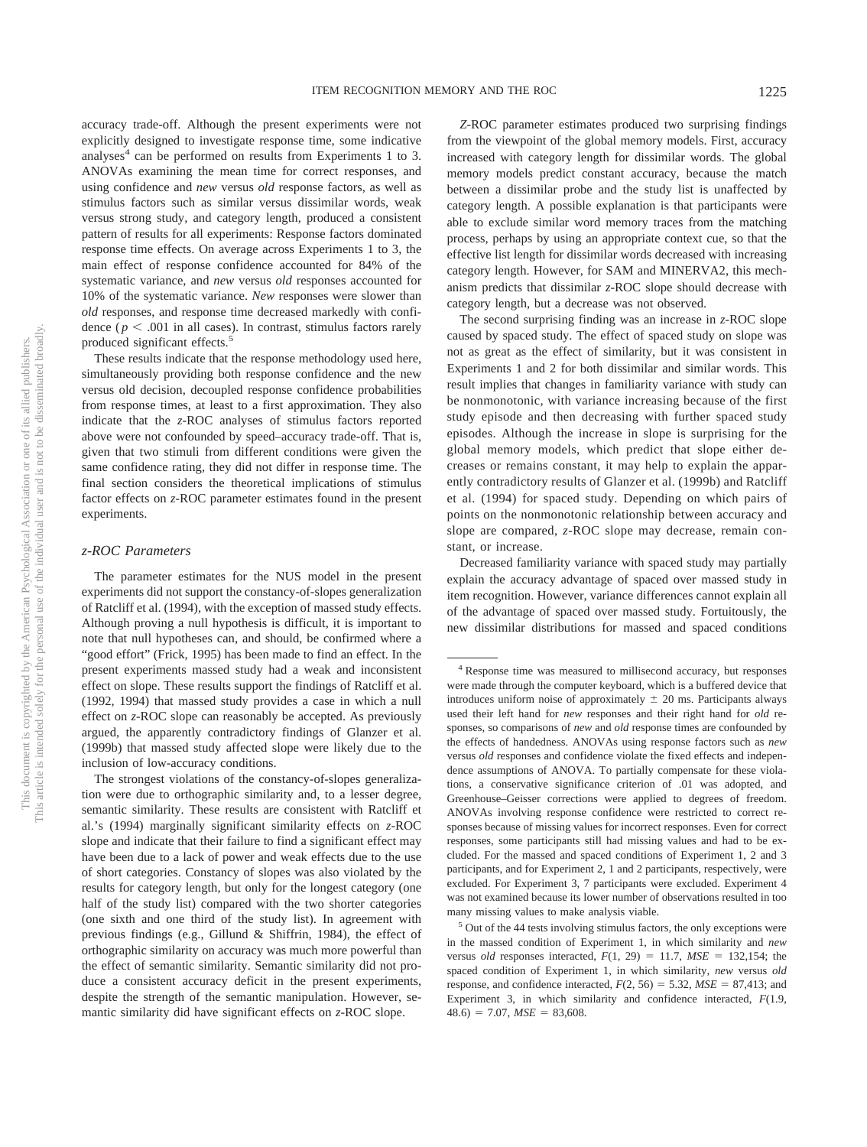accuracy trade-off. Although the present experiments were not explicitly designed to investigate response time, some indicative analyses<sup>4</sup> can be performed on results from Experiments 1 to 3. ANOVAs examining the mean time for correct responses, and using confidence and *new* versus *old* response factors, as well as stimulus factors such as similar versus dissimilar words, weak versus strong study, and category length, produced a consistent pattern of results for all experiments: Response factors dominated response time effects. On average across Experiments 1 to 3, the main effect of response confidence accounted for 84% of the systematic variance, and *new* versus *old* responses accounted for 10% of the systematic variance. *New* responses were slower than *old* responses, and response time decreased markedly with confidence ( $p < .001$  in all cases). In contrast, stimulus factors rarely produced significant effects.<sup>5</sup>

These results indicate that the response methodology used here, simultaneously providing both response confidence and the new versus old decision, decoupled response confidence probabilities from response times, at least to a first approximation. They also indicate that the *z*-ROC analyses of stimulus factors reported above were not confounded by speed–accuracy trade-off. That is, given that two stimuli from different conditions were given the same confidence rating, they did not differ in response time. The final section considers the theoretical implications of stimulus factor effects on *z*-ROC parameter estimates found in the present experiments.

#### *z-ROC Parameters*

The parameter estimates for the NUS model in the present experiments did not support the constancy-of-slopes generalization of Ratcliff et al. (1994), with the exception of massed study effects. Although proving a null hypothesis is difficult, it is important to note that null hypotheses can, and should, be confirmed where a "good effort" (Frick, 1995) has been made to find an effect. In the present experiments massed study had a weak and inconsistent effect on slope. These results support the findings of Ratcliff et al. (1992, 1994) that massed study provides a case in which a null effect on *z*-ROC slope can reasonably be accepted. As previously argued, the apparently contradictory findings of Glanzer et al. (1999b) that massed study affected slope were likely due to the inclusion of low-accuracy conditions.

The strongest violations of the constancy-of-slopes generalization were due to orthographic similarity and, to a lesser degree, semantic similarity. These results are consistent with Ratcliff et al.'s (1994) marginally significant similarity effects on *z*-ROC slope and indicate that their failure to find a significant effect may have been due to a lack of power and weak effects due to the use of short categories. Constancy of slopes was also violated by the results for category length, but only for the longest category (one half of the study list) compared with the two shorter categories (one sixth and one third of the study list). In agreement with previous findings (e.g., Gillund & Shiffrin, 1984), the effect of orthographic similarity on accuracy was much more powerful than the effect of semantic similarity. Semantic similarity did not produce a consistent accuracy deficit in the present experiments, despite the strength of the semantic manipulation. However, semantic similarity did have significant effects on *z*-ROC slope.

*Z*-ROC parameter estimates produced two surprising findings from the viewpoint of the global memory models. First, accuracy increased with category length for dissimilar words. The global memory models predict constant accuracy, because the match between a dissimilar probe and the study list is unaffected by category length. A possible explanation is that participants were able to exclude similar word memory traces from the matching process, perhaps by using an appropriate context cue, so that the effective list length for dissimilar words decreased with increasing category length. However, for SAM and MINERVA2, this mechanism predicts that dissimilar *z*-ROC slope should decrease with category length, but a decrease was not observed.

The second surprising finding was an increase in *z*-ROC slope caused by spaced study. The effect of spaced study on slope was not as great as the effect of similarity, but it was consistent in Experiments 1 and 2 for both dissimilar and similar words. This result implies that changes in familiarity variance with study can be nonmonotonic, with variance increasing because of the first study episode and then decreasing with further spaced study episodes. Although the increase in slope is surprising for the global memory models, which predict that slope either decreases or remains constant, it may help to explain the apparently contradictory results of Glanzer et al. (1999b) and Ratcliff et al. (1994) for spaced study. Depending on which pairs of points on the nonmonotonic relationship between accuracy and slope are compared, *z*-ROC slope may decrease, remain constant, or increase.

Decreased familiarity variance with spaced study may partially explain the accuracy advantage of spaced over massed study in item recognition. However, variance differences cannot explain all of the advantage of spaced over massed study. Fortuitously, the new dissimilar distributions for massed and spaced conditions

<sup>4</sup> Response time was measured to millisecond accuracy, but responses were made through the computer keyboard, which is a buffered device that introduces uniform noise of approximately  $\pm$  20 ms. Participants always used their left hand for *new* responses and their right hand for *old* responses, so comparisons of *new* and *old* response times are confounded by the effects of handedness. ANOVAs using response factors such as *new* versus *old* responses and confidence violate the fixed effects and independence assumptions of ANOVA. To partially compensate for these violations, a conservative significance criterion of .01 was adopted, and Greenhouse–Geisser corrections were applied to degrees of freedom. ANOVAs involving response confidence were restricted to correct responses because of missing values for incorrect responses. Even for correct responses, some participants still had missing values and had to be excluded. For the massed and spaced conditions of Experiment 1, 2 and 3 participants, and for Experiment 2, 1 and 2 participants, respectively, were excluded. For Experiment 3, 7 participants were excluded. Experiment 4 was not examined because its lower number of observations resulted in too many missing values to make analysis viable.

<sup>5</sup> Out of the 44 tests involving stimulus factors, the only exceptions were in the massed condition of Experiment 1, in which similarity and *new* versus *old* responses interacted,  $F(1, 29) = 11.7$ ,  $MSE = 132,154$ ; the spaced condition of Experiment 1, in which similarity, *new* versus *old* response, and confidence interacted,  $F(2, 56) = 5.32$ ,  $MSE = 87,413$ ; and Experiment 3, in which similarity and confidence interacted, *F*(1.9,  $48.6$ ) = 7.07,  $MSE = 83,608$ .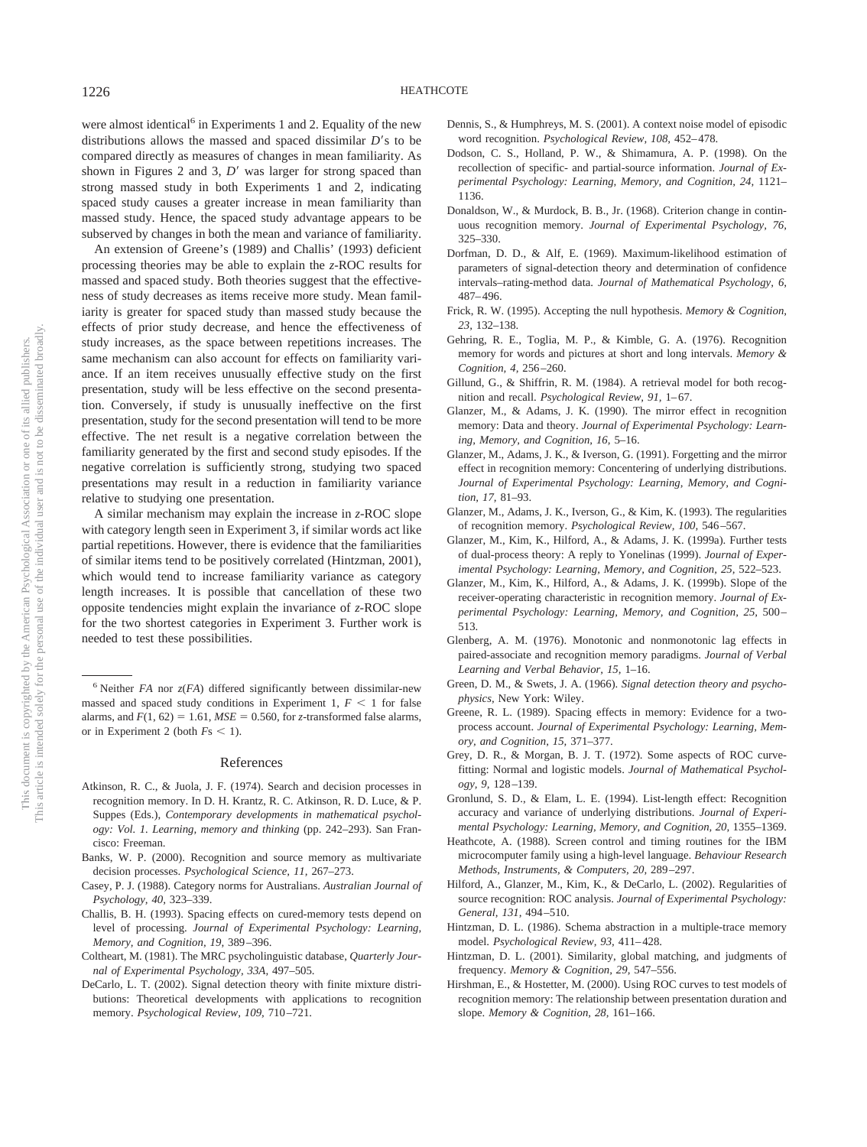were almost identical<sup>6</sup> in Experiments 1 and 2. Equality of the new distributions allows the massed and spaced dissimilar  $D$ 's to be compared directly as measures of changes in mean familiarity. As shown in Figures 2 and 3,  $D'$  was larger for strong spaced than strong massed study in both Experiments 1 and 2, indicating spaced study causes a greater increase in mean familiarity than massed study. Hence, the spaced study advantage appears to be subserved by changes in both the mean and variance of familiarity.

An extension of Greene's (1989) and Challis' (1993) deficient processing theories may be able to explain the *z*-ROC results for massed and spaced study. Both theories suggest that the effectiveness of study decreases as items receive more study. Mean familiarity is greater for spaced study than massed study because the effects of prior study decrease, and hence the effectiveness of study increases, as the space between repetitions increases. The same mechanism can also account for effects on familiarity variance. If an item receives unusually effective study on the first presentation, study will be less effective on the second presentation. Conversely, if study is unusually ineffective on the first presentation, study for the second presentation will tend to be more effective. The net result is a negative correlation between the familiarity generated by the first and second study episodes. If the negative correlation is sufficiently strong, studying two spaced presentations may result in a reduction in familiarity variance relative to studying one presentation.

A similar mechanism may explain the increase in *z*-ROC slope with category length seen in Experiment 3, if similar words act like partial repetitions. However, there is evidence that the familiarities of similar items tend to be positively correlated (Hintzman, 2001), which would tend to increase familiarity variance as category length increases. It is possible that cancellation of these two opposite tendencies might explain the invariance of *z*-ROC slope for the two shortest categories in Experiment 3. Further work is needed to test these possibilities.

#### References

- Atkinson, R. C., & Juola, J. F. (1974). Search and decision processes in recognition memory. In D. H. Krantz, R. C. Atkinson, R. D. Luce, & P. Suppes (Eds.), *Contemporary developments in mathematical psychology: Vol. 1. Learning, memory and thinking* (pp. 242–293). San Francisco: Freeman.
- Banks, W. P. (2000). Recognition and source memory as multivariate decision processes. *Psychological Science, 11,* 267–273.
- Casey, P. J. (1988). Category norms for Australians. *Australian Journal of Psychology, 40,* 323–339.
- Challis, B. H. (1993). Spacing effects on cured-memory tests depend on level of processing. *Journal of Experimental Psychology: Learning, Memory, and Cognition, 19,* 389–396.
- Coltheart, M. (1981). The MRC psycholinguistic database, *Quarterly Journal of Experimental Psychology, 33A,* 497–505.
- DeCarlo, L. T. (2002). Signal detection theory with finite mixture distributions: Theoretical developments with applications to recognition memory. *Psychological Review, 109,* 710–721.
- Dennis, S., & Humphreys, M. S. (2001). A context noise model of episodic word recognition. *Psychological Review, 108,* 452–478.
- Dodson, C. S., Holland, P. W., & Shimamura, A. P. (1998). On the recollection of specific- and partial-source information. *Journal of Experimental Psychology: Learning, Memory, and Cognition, 24,* 1121– 1136.
- Donaldson, W., & Murdock, B. B., Jr. (1968). Criterion change in continuous recognition memory. *Journal of Experimental Psychology, 76,* 325–330.
- Dorfman, D. D., & Alf, E. (1969). Maximum-likelihood estimation of parameters of signal-detection theory and determination of confidence intervals–rating-method data. *Journal of Mathematical Psychology, 6,* 487–496.
- Frick, R. W. (1995). Accepting the null hypothesis. *Memory & Cognition, 23,* 132–138.
- Gehring, R. E., Toglia, M. P., & Kimble, G. A. (1976). Recognition memory for words and pictures at short and long intervals. *Memory & Cognition, 4,* 256–260.
- Gillund, G., & Shiffrin, R. M. (1984). A retrieval model for both recognition and recall. *Psychological Review, 91,* 1–67.
- Glanzer, M., & Adams, J. K. (1990). The mirror effect in recognition memory: Data and theory. *Journal of Experimental Psychology: Learning, Memory, and Cognition, 16,* 5–16.
- Glanzer, M., Adams, J. K., & Iverson, G. (1991). Forgetting and the mirror effect in recognition memory: Concentering of underlying distributions. *Journal of Experimental Psychology: Learning, Memory, and Cognition, 17,* 81–93.
- Glanzer, M., Adams, J. K., Iverson, G., & Kim, K. (1993). The regularities of recognition memory. *Psychological Review, 100,* 546–567.
- Glanzer, M., Kim, K., Hilford, A., & Adams, J. K. (1999a). Further tests of dual-process theory: A reply to Yonelinas (1999). *Journal of Experimental Psychology: Learning, Memory, and Cognition, 25,* 522–523.
- Glanzer, M., Kim, K., Hilford, A., & Adams, J. K. (1999b). Slope of the receiver-operating characteristic in recognition memory. *Journal of Experimental Psychology: Learning, Memory, and Cognition, 25,* 500– 513.
- Glenberg, A. M. (1976). Monotonic and nonmonotonic lag effects in paired-associate and recognition memory paradigms. *Journal of Verbal Learning and Verbal Behavior, 15,* 1–16.
- Green, D. M., & Swets, J. A. (1966). *Signal detection theory and psychophysics,* New York: Wiley.
- Greene, R. L. (1989). Spacing effects in memory: Evidence for a twoprocess account. *Journal of Experimental Psychology: Learning, Memory, and Cognition, 15,* 371–377.
- Grey, D. R., & Morgan, B. J. T. (1972). Some aspects of ROC curvefitting: Normal and logistic models. *Journal of Mathematical Psychology, 9,* 128–139.
- Gronlund, S. D., & Elam, L. E. (1994). List-length effect: Recognition accuracy and variance of underlying distributions. *Journal of Experimental Psychology: Learning, Memory, and Cognition, 20,* 1355–1369.
- Heathcote, A. (1988). Screen control and timing routines for the IBM microcomputer family using a high-level language. *Behaviour Research Methods, Instruments, & Computers, 20,* 289–297.
- Hilford, A., Glanzer, M., Kim, K., & DeCarlo, L. (2002). Regularities of source recognition: ROC analysis. *Journal of Experimental Psychology: General, 131,* 494–510.
- Hintzman, D. L. (1986). Schema abstraction in a multiple-trace memory model. *Psychological Review, 93,* 411–428.
- Hintzman, D. L. (2001). Similarity, global matching, and judgments of frequency. *Memory & Cognition, 29,* 547–556.
- Hirshman, E., & Hostetter, M. (2000). Using ROC curves to test models of recognition memory: The relationship between presentation duration and slope. *Memory & Cognition, 28,* 161–166.

<sup>6</sup> Neither *FA* nor *z*(*FA*) differed significantly between dissimilar-new massed and spaced study conditions in Experiment 1,  $F < 1$  for false alarms, and  $F(1, 62) = 1.61$ ,  $MSE = 0.560$ , for *z*-transformed false alarms, or in Experiment 2 (both  $Fs < 1$ ).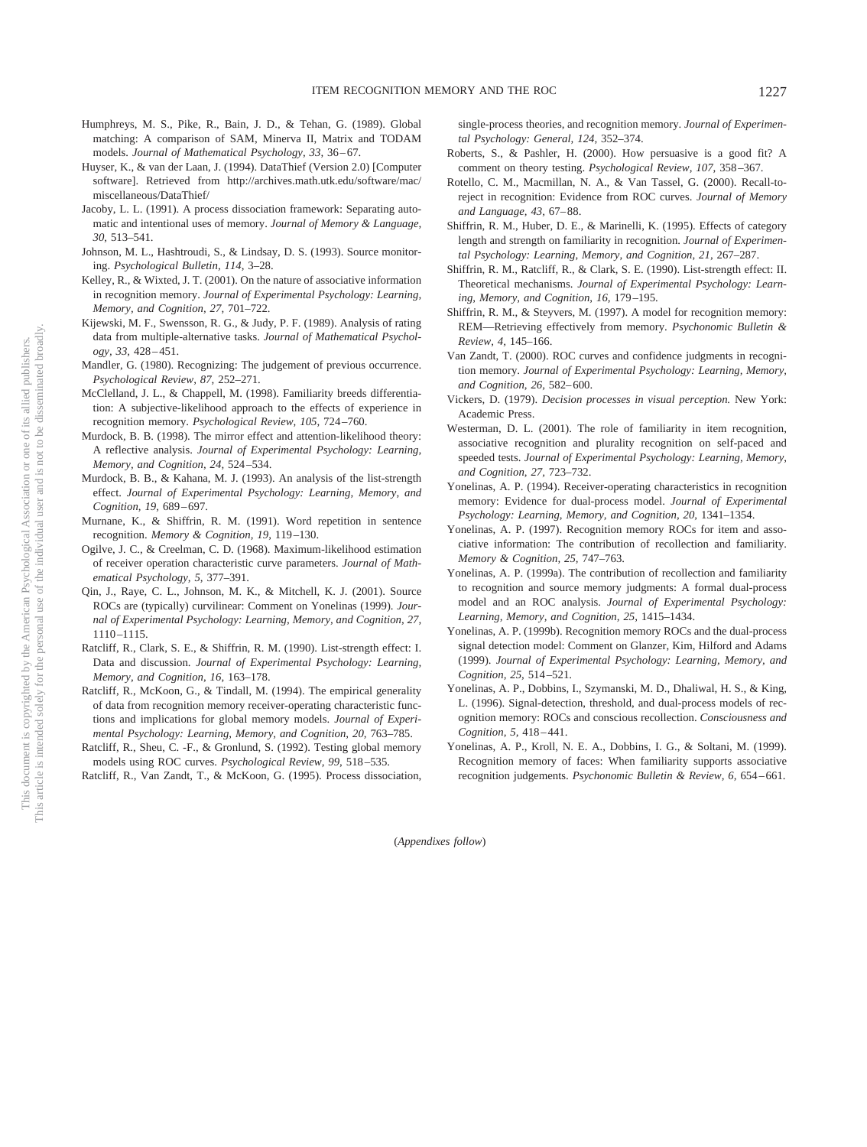- Humphreys, M. S., Pike, R., Bain, J. D., & Tehan, G. (1989). Global matching: A comparison of SAM, Minerva II, Matrix and TODAM models. *Journal of Mathematical Psychology, 33,* 36–67.
- Huyser, K., & van der Laan, J. (1994). DataThief (Version 2.0) [Computer software]. Retrieved from http://archives.math.utk.edu/software/mac/ miscellaneous/DataThief/
- Jacoby, L. L. (1991). A process dissociation framework: Separating automatic and intentional uses of memory. *Journal of Memory & Language, 30,* 513–541.
- Johnson, M. L., Hashtroudi, S., & Lindsay, D. S. (1993). Source monitoring. *Psychological Bulletin, 114,* 3–28.
- Kelley, R., & Wixted, J. T. (2001). On the nature of associative information in recognition memory. *Journal of Experimental Psychology: Learning, Memory, and Cognition, 27,* 701–722.
- Kijewski, M. F., Swensson, R. G., & Judy, P. F. (1989). Analysis of rating data from multiple-alternative tasks. *Journal of Mathematical Psychology, 33,* 428–451.
- Mandler, G. (1980). Recognizing: The judgement of previous occurrence. *Psychological Review, 87,* 252–271.
- McClelland, J. L., & Chappell, M. (1998). Familiarity breeds differentiation: A subjective-likelihood approach to the effects of experience in recognition memory. *Psychological Review, 105,* 724–760.
- Murdock, B. B. (1998). The mirror effect and attention-likelihood theory: A reflective analysis. *Journal of Experimental Psychology: Learning, Memory, and Cognition, 24,* 524–534.
- Murdock, B. B., & Kahana, M. J. (1993). An analysis of the list-strength effect. *Journal of Experimental Psychology: Learning, Memory, and Cognition, 19,* 689–697.
- Murnane, K., & Shiffrin, R. M. (1991). Word repetition in sentence recognition. *Memory & Cognition, 19,* 119–130.
- Ogilve, J. C., & Creelman, C. D. (1968). Maximum-likelihood estimation of receiver operation characteristic curve parameters. *Journal of Mathematical Psychology, 5,* 377–391.
- Qin, J., Raye, C. L., Johnson, M. K., & Mitchell, K. J. (2001). Source ROCs are (typically) curvilinear: Comment on Yonelinas (1999). *Journal of Experimental Psychology: Learning, Memory, and Cognition, 27,* 1110–1115.
- Ratcliff, R., Clark, S. E., & Shiffrin, R. M. (1990). List-strength effect: I. Data and discussion. *Journal of Experimental Psychology: Learning, Memory, and Cognition, 16,* 163–178.
- Ratcliff, R., McKoon, G., & Tindall, M. (1994). The empirical generality of data from recognition memory receiver-operating characteristic functions and implications for global memory models. *Journal of Experimental Psychology: Learning, Memory, and Cognition, 20,* 763–785.
- Ratcliff, R., Sheu, C. -F., & Gronlund, S. (1992). Testing global memory models using ROC curves. *Psychological Review, 99,* 518–535.
- Ratcliff, R., Van Zandt, T., & McKoon, G. (1995). Process dissociation,

single-process theories, and recognition memory. *Journal of Experimental Psychology: General, 124,* 352–374.

- Roberts, S., & Pashler, H. (2000). How persuasive is a good fit? A comment on theory testing. *Psychological Review, 107,* 358–367.
- Rotello, C. M., Macmillan, N. A., & Van Tassel, G. (2000). Recall-toreject in recognition: Evidence from ROC curves. *Journal of Memory and Language, 43,* 67–88.
- Shiffrin, R. M., Huber, D. E., & Marinelli, K. (1995). Effects of category length and strength on familiarity in recognition. *Journal of Experimental Psychology: Learning, Memory, and Cognition, 21,* 267–287.
- Shiffrin, R. M., Ratcliff, R., & Clark, S. E. (1990). List-strength effect: II. Theoretical mechanisms. *Journal of Experimental Psychology: Learning, Memory, and Cognition, 16,* 179–195.
- Shiffrin, R. M., & Steyvers, M. (1997). A model for recognition memory: REM—Retrieving effectively from memory. *Psychonomic Bulletin & Review, 4,* 145–166.
- Van Zandt, T. (2000). ROC curves and confidence judgments in recognition memory. *Journal of Experimental Psychology: Learning, Memory, and Cognition, 26,* 582–600.
- Vickers, D. (1979). *Decision processes in visual perception.* New York: Academic Press.
- Westerman, D. L. (2001). The role of familiarity in item recognition, associative recognition and plurality recognition on self-paced and speeded tests. *Journal of Experimental Psychology: Learning, Memory, and Cognition, 27,* 723–732.
- Yonelinas, A. P. (1994). Receiver-operating characteristics in recognition memory: Evidence for dual-process model. *Journal of Experimental Psychology: Learning, Memory, and Cognition, 20,* 1341–1354.
- Yonelinas, A. P. (1997). Recognition memory ROCs for item and associative information: The contribution of recollection and familiarity. *Memory & Cognition, 25,* 747–763.
- Yonelinas, A. P. (1999a). The contribution of recollection and familiarity to recognition and source memory judgments: A formal dual-process model and an ROC analysis. *Journal of Experimental Psychology: Learning, Memory, and Cognition, 25,* 1415–1434.
- Yonelinas, A. P. (1999b). Recognition memory ROCs and the dual-process signal detection model: Comment on Glanzer, Kim, Hilford and Adams (1999). *Journal of Experimental Psychology: Learning, Memory, and Cognition, 25,* 514–521.
- Yonelinas, A. P., Dobbins, I., Szymanski, M. D., Dhaliwal, H. S., & King, L. (1996). Signal-detection, threshold, and dual-process models of recognition memory: ROCs and conscious recollection. *Consciousness and Cognition, 5,* 418–441.
- Yonelinas, A. P., Kroll, N. E. A., Dobbins, I. G., & Soltani, M. (1999). Recognition memory of faces: When familiarity supports associative recognition judgements. *Psychonomic Bulletin & Review, 6,* 654–661.

(*Appendixes follow*)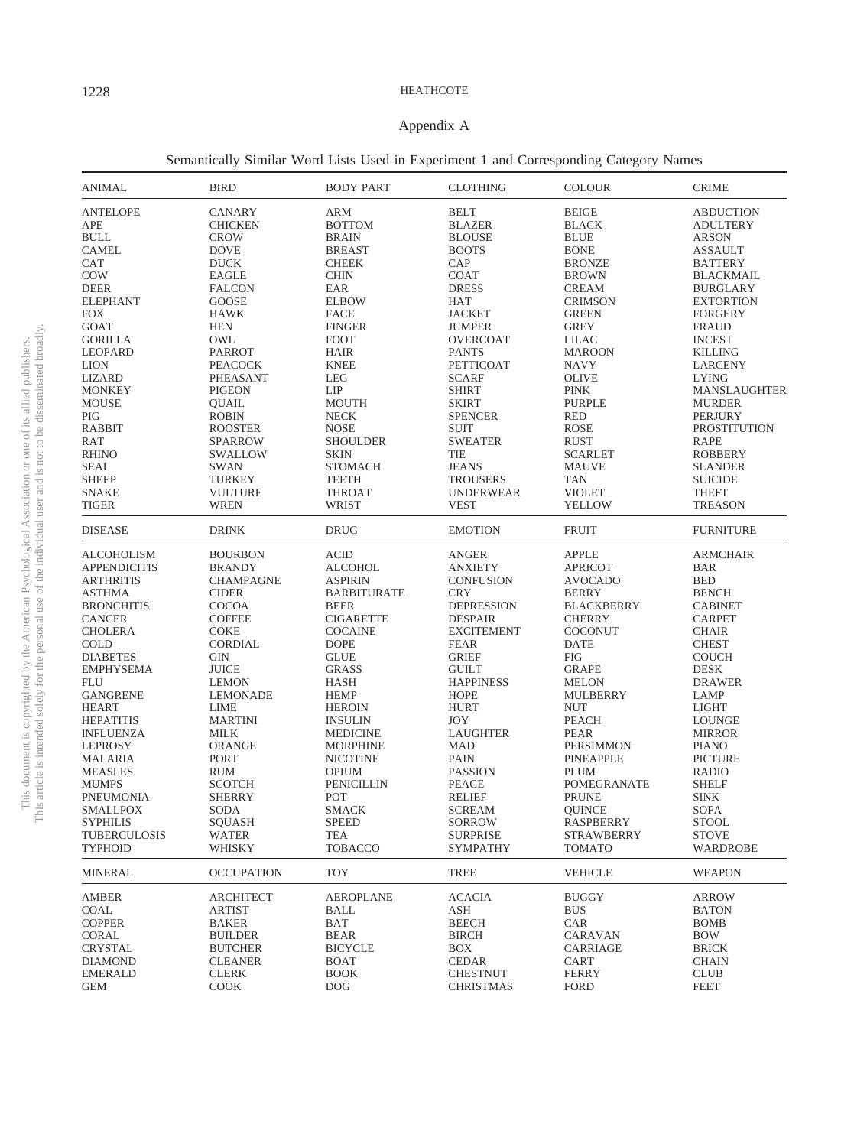## 1228 HEATHCOTE

## Appendix A

Semantically Similar Word Lists Used in Experiment 1 and Corresponding Category Names

| <b>ANIMAL</b>       | <b>BIRD</b>       | <b>BODY PART</b>   | <b>CLOTHING</b>   | <b>COLOUR</b>     | <b>CRIME</b>        |
|---------------------|-------------------|--------------------|-------------------|-------------------|---------------------|
| <b>ANTELOPE</b>     | <b>CANARY</b>     | <b>ARM</b>         | <b>BELT</b>       | <b>BEIGE</b>      | <b>ABDUCTION</b>    |
| APE                 | <b>CHICKEN</b>    | <b>BOTTOM</b>      | <b>BLAZER</b>     | <b>BLACK</b>      | <b>ADULTERY</b>     |
| <b>BULL</b>         | <b>CROW</b>       | <b>BRAIN</b>       | <b>BLOUSE</b>     | <b>BLUE</b>       | <b>ARSON</b>        |
| <b>CAMEL</b>        | <b>DOVE</b>       | <b>BREAST</b>      | <b>BOOTS</b>      | <b>BONE</b>       | <b>ASSAULT</b>      |
| CAT                 | <b>DUCK</b>       | <b>CHEEK</b>       | CAP               | <b>BRONZE</b>     | <b>BATTERY</b>      |
| <b>COW</b>          | <b>EAGLE</b>      | <b>CHIN</b>        | <b>COAT</b>       | <b>BROWN</b>      | <b>BLACKMAIL</b>    |
| <b>DEER</b>         | <b>FALCON</b>     | EAR                | <b>DRESS</b>      | <b>CREAM</b>      | <b>BURGLARY</b>     |
| <b>ELEPHANT</b>     | <b>GOOSE</b>      | <b>ELBOW</b>       | <b>HAT</b>        | <b>CRIMSON</b>    | <b>EXTORTION</b>    |
| <b>FOX</b>          | <b>HAWK</b>       | <b>FACE</b>        | <b>JACKET</b>     | <b>GREEN</b>      | <b>FORGERY</b>      |
| GOAT                | <b>HEN</b>        | <b>FINGER</b>      | <b>JUMPER</b>     | <b>GREY</b>       | <b>FRAUD</b>        |
|                     |                   |                    |                   |                   |                     |
| <b>GORILLA</b>      | OWL               | <b>FOOT</b>        | <b>OVERCOAT</b>   | <b>LILAC</b>      | <b>INCEST</b>       |
| <b>LEOPARD</b>      | <b>PARROT</b>     | <b>HAIR</b>        | <b>PANTS</b>      | <b>MAROON</b>     | <b>KILLING</b>      |
| <b>LION</b>         | <b>PEACOCK</b>    | <b>KNEE</b>        | <b>PETTICOAT</b>  | <b>NAVY</b>       | <b>LARCENY</b>      |
| <b>LIZARD</b>       | PHEASANT          | <b>LEG</b>         | <b>SCARF</b>      | <b>OLIVE</b>      | <b>LYING</b>        |
| <b>MONKEY</b>       | <b>PIGEON</b>     | LIP                | <b>SHIRT</b>      | <b>PINK</b>       | <b>MANSLAUGHTER</b> |
| <b>MOUSE</b>        | <b>QUAIL</b>      | <b>MOUTH</b>       | <b>SKIRT</b>      | <b>PURPLE</b>     | <b>MURDER</b>       |
| PIG                 | <b>ROBIN</b>      | <b>NECK</b>        | <b>SPENCER</b>    | <b>RED</b>        | <b>PERJURY</b>      |
| <b>RABBIT</b>       | <b>ROOSTER</b>    | <b>NOSE</b>        | <b>SUIT</b>       | <b>ROSE</b>       | <b>PROSTITUTION</b> |
| RAT                 | <b>SPARROW</b>    | <b>SHOULDER</b>    | <b>SWEATER</b>    | <b>RUST</b>       | <b>RAPE</b>         |
| <b>RHINO</b>        | SWALLOW           | <b>SKIN</b>        | <b>TIE</b>        | <b>SCARLET</b>    | <b>ROBBERY</b>      |
| <b>SEAL</b>         | <b>SWAN</b>       | <b>STOMACH</b>     | <b>JEANS</b>      | <b>MAUVE</b>      | <b>SLANDER</b>      |
| <b>SHEEP</b>        | <b>TURKEY</b>     | <b>TEETH</b>       | <b>TROUSERS</b>   | <b>TAN</b>        | <b>SUICIDE</b>      |
| <b>SNAKE</b>        | <b>VULTURE</b>    | <b>THROAT</b>      | <b>UNDERWEAR</b>  | <b>VIOLET</b>     | <b>THEFT</b>        |
| <b>TIGER</b>        | <b>WREN</b>       | <b>WRIST</b>       | <b>VEST</b>       | <b>YELLOW</b>     | <b>TREASON</b>      |
| <b>DISEASE</b>      | <b>DRINK</b>      | <b>DRUG</b>        | <b>EMOTION</b>    | <b>FRUIT</b>      | <b>FURNITURE</b>    |
| <b>ALCOHOLISM</b>   | <b>BOURBON</b>    | <b>ACID</b>        | <b>ANGER</b>      | <b>APPLE</b>      | <b>ARMCHAIR</b>     |
| <b>APPENDICITIS</b> | <b>BRANDY</b>     | <b>ALCOHOL</b>     | <b>ANXIETY</b>    | <b>APRICOT</b>    | <b>BAR</b>          |
| <b>ARTHRITIS</b>    | <b>CHAMPAGNE</b>  | <b>ASPIRIN</b>     | <b>CONFUSION</b>  | <b>AVOCADO</b>    | <b>BED</b>          |
| <b>ASTHMA</b>       | <b>CIDER</b>      | <b>BARBITURATE</b> | <b>CRY</b>        | <b>BERRY</b>      | <b>BENCH</b>        |
| <b>BRONCHITIS</b>   | <b>COCOA</b>      | <b>BEER</b>        | <b>DEPRESSION</b> | <b>BLACKBERRY</b> | <b>CABINET</b>      |
| <b>CANCER</b>       | <b>COFFEE</b>     | <b>CIGARETTE</b>   | <b>DESPAIR</b>    | <b>CHERRY</b>     | <b>CARPET</b>       |
| <b>CHOLERA</b>      | <b>COKE</b>       | <b>COCAINE</b>     | <b>EXCITEMENT</b> | <b>COCONUT</b>    | <b>CHAIR</b>        |
| <b>COLD</b>         | CORDIAL           | <b>DOPE</b>        | <b>FEAR</b>       | <b>DATE</b>       | <b>CHEST</b>        |
| <b>DIABETES</b>     | <b>GIN</b>        | <b>GLUE</b>        | <b>GRIEF</b>      | <b>FIG</b>        | <b>COUCH</b>        |
| <b>EMPHYSEMA</b>    | <b>JUICE</b>      | <b>GRASS</b>       | <b>GUILT</b>      | <b>GRAPE</b>      | <b>DESK</b>         |
| FLU                 | <b>LEMON</b>      | <b>HASH</b>        | <b>HAPPINESS</b>  | <b>MELON</b>      | <b>DRAWER</b>       |
| <b>GANGRENE</b>     | <b>LEMONADE</b>   | <b>HEMP</b>        | <b>HOPE</b>       | MULBERRY          | LAMP                |
| <b>HEART</b>        | <b>LIME</b>       | <b>HEROIN</b>      | <b>HURT</b>       | <b>NUT</b>        | <b>LIGHT</b>        |
| <b>HEPATITIS</b>    |                   |                    |                   |                   |                     |
|                     | <b>MARTINI</b>    | <b>INSULIN</b>     | JOY               | PEACH             | <b>LOUNGE</b>       |
| <b>INFLUENZA</b>    | <b>MILK</b>       | <b>MEDICINE</b>    | <b>LAUGHTER</b>   | <b>PEAR</b>       | <b>MIRROR</b>       |
| <b>LEPROSY</b>      | ORANGE            | <b>MORPHINE</b>    | <b>MAD</b>        | <b>PERSIMMON</b>  | <b>PIANO</b>        |
| <b>MALARIA</b>      | PORT              | <b>NICOTINE</b>    | <b>PAIN</b>       | PINEAPPLE         | <b>PICTURE</b>      |
| <b>MEASLES</b>      | <b>RUM</b>        | <b>OPIUM</b>       | <b>PASSION</b>    | PLUM              | <b>RADIO</b>        |
| <b>MUMPS</b>        | <b>SCOTCH</b>     | <b>PENICILLIN</b>  | PEACE             | POMEGRANATE       | <b>SHELF</b>        |
| <b>PNEUMONIA</b>    | <b>SHERRY</b>     | POT                | <b>RELIEF</b>     | <b>PRUNE</b>      | <b>SINK</b>         |
| SMALLPOX            | SODA              | SMACK              | SCREAM            | QUINCE            | SOFA                |
| <b>SYPHILIS</b>     | SQUASH            | <b>SPEED</b>       | SORROW            | <b>RASPBERRY</b>  | <b>STOOL</b>        |
| TUBERCULOSIS        | <b>WATER</b>      | TEA                | <b>SURPRISE</b>   | <b>STRAWBERRY</b> | <b>STOVE</b>        |
| <b>TYPHOID</b>      | WHISKY            | <b>TOBACCO</b>     | SYMPATHY          | TOMATO            | WARDROBE            |
| <b>MINERAL</b>      | <b>OCCUPATION</b> | <b>TOY</b>         | TREE              | <b>VEHICLE</b>    | <b>WEAPON</b>       |
| <b>AMBER</b>        | <b>ARCHITECT</b>  | <b>AEROPLANE</b>   | ACACIA            | <b>BUGGY</b>      | <b>ARROW</b>        |
| COAL                | <b>ARTIST</b>     | BALL               | ASH               | <b>BUS</b>        | <b>BATON</b>        |
| <b>COPPER</b>       | <b>BAKER</b>      | BAT                | <b>BEECH</b>      | CAR               | <b>BOMB</b>         |
| CORAL               | <b>BUILDER</b>    | <b>BEAR</b>        | <b>BIRCH</b>      | CARAVAN           | <b>BOW</b>          |
| <b>CRYSTAL</b>      | <b>BUTCHER</b>    | <b>BICYCLE</b>     | <b>BOX</b>        | CARRIAGE          | <b>BRICK</b>        |
| <b>DIAMOND</b>      | <b>CLEANER</b>    | <b>BOAT</b>        | <b>CEDAR</b>      | CART              | <b>CHAIN</b>        |
| <b>EMERALD</b>      | <b>CLERK</b>      | <b>BOOK</b>        | <b>CHESTNUT</b>   | <b>FERRY</b>      | <b>CLUB</b>         |
| <b>GEM</b>          | <b>COOK</b>       | DOG                | <b>CHRISTMAS</b>  | <b>FORD</b>       | <b>FEET</b>         |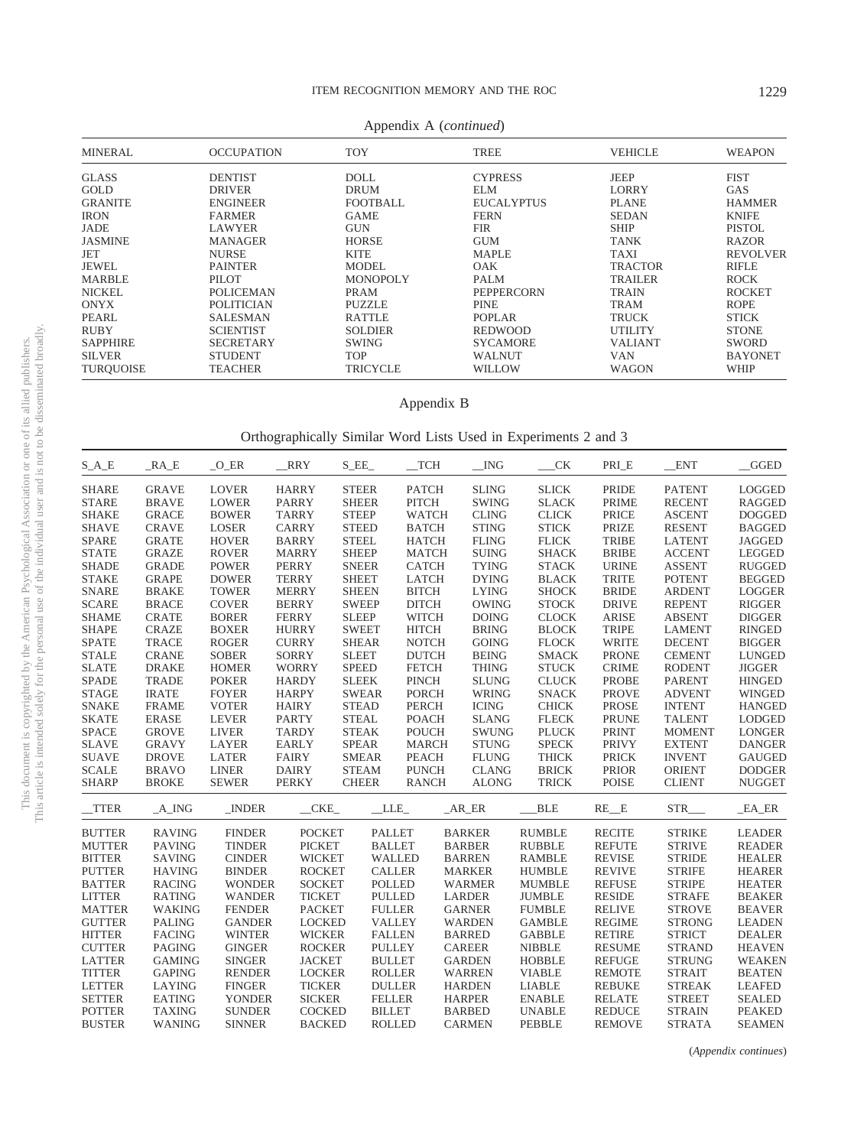| <b>MINERAL</b>   | <b>OCCUPATION</b> | <b>TOY</b>      | <b>TREE</b>       | <b>VEHICLE</b> | <b>WEAPON</b>   |
|------------------|-------------------|-----------------|-------------------|----------------|-----------------|
| <b>GLASS</b>     | <b>DENTIST</b>    | <b>DOLL</b>     | <b>CYPRESS</b>    | JEEP           | <b>FIST</b>     |
| GOLD             | <b>DRIVER</b>     | <b>DRUM</b>     | <b>ELM</b>        | <b>LORRY</b>   | <b>GAS</b>      |
| <b>GRANITE</b>   | <b>ENGINEER</b>   | <b>FOOTBALL</b> | <b>EUCALYPTUS</b> | <b>PLANE</b>   | <b>HAMMER</b>   |
| <b>IRON</b>      | <b>FARMER</b>     | <b>GAME</b>     | <b>FERN</b>       | <b>SEDAN</b>   | <b>KNIFE</b>    |
| <b>JADE</b>      | <b>LAWYER</b>     | <b>GUN</b>      | <b>FIR</b>        | <b>SHIP</b>    | <b>PISTOL</b>   |
| <b>JASMINE</b>   | <b>MANAGER</b>    | <b>HORSE</b>    | <b>GUM</b>        | <b>TANK</b>    | RAZOR           |
| <b>JET</b>       | <b>NURSE</b>      | <b>KITE</b>     | <b>MAPLE</b>      | <b>TAXI</b>    | <b>REVOLVER</b> |
| <b>JEWEL</b>     | <b>PAINTER</b>    | <b>MODEL</b>    | <b>OAK</b>        | TRACTOR        | <b>RIFLE</b>    |
| <b>MARBLE</b>    | PILOT             | <b>MONOPOLY</b> | <b>PALM</b>       | <b>TRAILER</b> | <b>ROCK</b>     |
| <b>NICKEL</b>    | <b>POLICEMAN</b>  | <b>PRAM</b>     | <b>PEPPERCORN</b> | TRAIN          | <b>ROCKET</b>   |
| <b>ONYX</b>      | <b>POLITICIAN</b> | <b>PUZZLE</b>   | <b>PINE</b>       | TRAM           | <b>ROPE</b>     |
| <b>PEARL</b>     | <b>SALESMAN</b>   | <b>RATTLE</b>   | <b>POPLAR</b>     | TRUCK          | <b>STICK</b>    |
| <b>RUBY</b>      | <b>SCIENTIST</b>  | <b>SOLDIER</b>  | <b>REDWOOD</b>    | UTILITY        | <b>STONE</b>    |
| <b>SAPPHIRE</b>  | <b>SECRETARY</b>  | <b>SWING</b>    | <b>SYCAMORE</b>   | <b>VALIANT</b> | <b>SWORD</b>    |
| <b>SILVER</b>    | <b>STUDENT</b>    | <b>TOP</b>      | WALNUT            | VAN            | <b>BAYONET</b>  |
| <b>TURQUOISE</b> | <b>TEACHER</b>    | <b>TRICYCLE</b> | WILLOW            | WAGON          | WHIP            |

Appendix A (*continued*)

# Appendix B

# Orthographically Similar Word Lists Used in Experiments 2 and 3

| $S_A E$       | $RA_E$        | $O$ ER        | <b>RRY</b>    | $S$ _EE_     | <b>TCH</b>    | ING           | <b>CK</b>     | $\ensuremath{\mathsf{PRI\_E}}$ | <b>ENT</b>    | GGED          |
|---------------|---------------|---------------|---------------|--------------|---------------|---------------|---------------|--------------------------------|---------------|---------------|
| <b>SHARE</b>  | <b>GRAVE</b>  | <b>LOVER</b>  | <b>HARRY</b>  | <b>STEER</b> | <b>PATCH</b>  | <b>SLING</b>  | <b>SLICK</b>  | <b>PRIDE</b>                   | <b>PATENT</b> | <b>LOGGED</b> |
| <b>STARE</b>  | <b>BRAVE</b>  | <b>LOWER</b>  | <b>PARRY</b>  | <b>SHEER</b> | <b>PITCH</b>  | <b>SWING</b>  | <b>SLACK</b>  | <b>PRIME</b>                   | <b>RECENT</b> | <b>RAGGED</b> |
| <b>SHAKE</b>  | <b>GRACE</b>  | <b>BOWER</b>  | <b>TARRY</b>  | <b>STEEP</b> | <b>WATCH</b>  | <b>CLING</b>  | <b>CLICK</b>  | <b>PRICE</b>                   | <b>ASCENT</b> | <b>DOGGED</b> |
| <b>SHAVE</b>  | <b>CRAVE</b>  | <b>LOSER</b>  | <b>CARRY</b>  | <b>STEED</b> | <b>BATCH</b>  | <b>STING</b>  | <b>STICK</b>  | <b>PRIZE</b>                   | <b>RESENT</b> | <b>BAGGED</b> |
| <b>SPARE</b>  | <b>GRATE</b>  | <b>HOVER</b>  | <b>BARRY</b>  | <b>STEEL</b> | <b>HATCH</b>  | <b>FLING</b>  | <b>FLICK</b>  | <b>TRIBE</b>                   | <b>LATENT</b> | <b>JAGGED</b> |
| <b>STATE</b>  | <b>GRAZE</b>  | <b>ROVER</b>  | <b>MARRY</b>  | <b>SHEEP</b> | <b>MATCH</b>  | <b>SUING</b>  | <b>SHACK</b>  | <b>BRIBE</b>                   | <b>ACCENT</b> | <b>LEGGED</b> |
| <b>SHADE</b>  | <b>GRADE</b>  | <b>POWER</b>  | <b>PERRY</b>  | <b>SNEER</b> | <b>CATCH</b>  | <b>TYING</b>  | <b>STACK</b>  | <b>URINE</b>                   | <b>ASSENT</b> | <b>RUGGED</b> |
| <b>STAKE</b>  | <b>GRAPE</b>  | <b>DOWER</b>  | <b>TERRY</b>  | <b>SHEET</b> | <b>LATCH</b>  | <b>DYING</b>  | <b>BLACK</b>  | <b>TRITE</b>                   | <b>POTENT</b> | <b>BEGGED</b> |
| <b>SNARE</b>  | <b>BRAKE</b>  | <b>TOWER</b>  | <b>MERRY</b>  | <b>SHEEN</b> | <b>BITCH</b>  | <b>LYING</b>  | <b>SHOCK</b>  | <b>BRIDE</b>                   | <b>ARDENT</b> | <b>LOGGER</b> |
| <b>SCARE</b>  | <b>BRACE</b>  | <b>COVER</b>  | <b>BERRY</b>  | <b>SWEEP</b> | <b>DITCH</b>  | <b>OWING</b>  | <b>STOCK</b>  | <b>DRIVE</b>                   | <b>REPENT</b> | <b>RIGGER</b> |
| <b>SHAME</b>  | <b>CRATE</b>  | <b>BORER</b>  | <b>FERRY</b>  | <b>SLEEP</b> | <b>WITCH</b>  | <b>DOING</b>  | <b>CLOCK</b>  | <b>ARISE</b>                   | <b>ABSENT</b> | <b>DIGGER</b> |
| <b>SHAPE</b>  | <b>CRAZE</b>  | <b>BOXER</b>  | <b>HURRY</b>  | <b>SWEET</b> | <b>HITCH</b>  | <b>BRING</b>  | <b>BLOCK</b>  | <b>TRIPE</b>                   | <b>LAMENT</b> | <b>RINGED</b> |
| <b>SPATE</b>  | <b>TRACE</b>  | <b>ROGER</b>  | <b>CURRY</b>  | <b>SHEAR</b> | <b>NOTCH</b>  | <b>GOING</b>  | <b>FLOCK</b>  | <b>WRITE</b>                   | <b>DECENT</b> | <b>BIGGER</b> |
| <b>STALE</b>  | <b>CRANE</b>  | <b>SOBER</b>  | <b>SORRY</b>  | <b>SLEET</b> | <b>DUTCH</b>  | <b>BEING</b>  | <b>SMACK</b>  | <b>PRONE</b>                   | <b>CEMENT</b> | <b>LUNGED</b> |
| <b>SLATE</b>  | <b>DRAKE</b>  | <b>HOMER</b>  | <b>WORRY</b>  | <b>SPEED</b> | <b>FETCH</b>  | <b>THING</b>  | <b>STUCK</b>  | <b>CRIME</b>                   | <b>RODENT</b> | <b>JIGGER</b> |
| <b>SPADE</b>  | <b>TRADE</b>  | <b>POKER</b>  | <b>HARDY</b>  | <b>SLEEK</b> | <b>PINCH</b>  | <b>SLUNG</b>  | <b>CLUCK</b>  | <b>PROBE</b>                   | <b>PARENT</b> | <b>HINGED</b> |
| <b>STAGE</b>  | <b>IRATE</b>  | <b>FOYER</b>  | <b>HARPY</b>  | <b>SWEAR</b> | <b>PORCH</b>  | <b>WRING</b>  | <b>SNACK</b>  | <b>PROVE</b>                   | <b>ADVENT</b> | <b>WINGED</b> |
| <b>SNAKE</b>  | <b>FRAME</b>  | <b>VOTER</b>  | <b>HAIRY</b>  | <b>STEAD</b> | <b>PERCH</b>  | <b>ICING</b>  | <b>CHICK</b>  | <b>PROSE</b>                   | <b>INTENT</b> | <b>HANGED</b> |
| <b>SKATE</b>  | <b>ERASE</b>  | <b>LEVER</b>  | <b>PARTY</b>  | <b>STEAL</b> | <b>POACH</b>  | <b>SLANG</b>  | <b>FLECK</b>  | <b>PRUNE</b>                   | <b>TALENT</b> | <b>LODGED</b> |
| <b>SPACE</b>  | <b>GROVE</b>  | <b>LIVER</b>  | <b>TARDY</b>  | <b>STEAK</b> | <b>POUCH</b>  | <b>SWUNG</b>  | <b>PLUCK</b>  | <b>PRINT</b>                   | <b>MOMENT</b> | <b>LONGER</b> |
| <b>SLAVE</b>  | <b>GRAVY</b>  | <b>LAYER</b>  | <b>EARLY</b>  | <b>SPEAR</b> | <b>MARCH</b>  | <b>STUNG</b>  | <b>SPECK</b>  | <b>PRIVY</b>                   | <b>EXTENT</b> | <b>DANGER</b> |
| <b>SUAVE</b>  | <b>DROVE</b>  | <b>LATER</b>  | <b>FAIRY</b>  | <b>SMEAR</b> | PEACH         | <b>FLUNG</b>  | <b>THICK</b>  | <b>PRICK</b>                   | <b>INVENT</b> | <b>GAUGED</b> |
| <b>SCALE</b>  | <b>BRAVO</b>  | <b>LINER</b>  | <b>DAIRY</b>  | <b>STEAM</b> | <b>PUNCH</b>  | <b>CLANG</b>  | <b>BRICK</b>  | <b>PRIOR</b>                   | <b>ORIENT</b> | <b>DODGER</b> |
| <b>SHARP</b>  | <b>BROKE</b>  | <b>SEWER</b>  | <b>PERKY</b>  | <b>CHEER</b> | <b>RANCH</b>  | <b>ALONG</b>  | <b>TRICK</b>  | <b>POISE</b>                   | <b>CLIENT</b> | <b>NUGGET</b> |
| <b>TTER</b>   | $A$ ING       | _INDER        | CKE           |              | LLE           | $AR$ ER       | <b>BLE</b>    | RE E                           | STR_          | $E_{A}ER$     |
| <b>BUTTER</b> | <b>RAVING</b> | <b>FINDER</b> | <b>POCKET</b> |              | <b>PALLET</b> | <b>BARKER</b> | <b>RUMBLE</b> | <b>RECITE</b>                  | <b>STRIKE</b> | <b>LEADER</b> |
| <b>MUTTER</b> | <b>PAVING</b> | <b>TINDER</b> | <b>PICKET</b> |              | <b>BALLET</b> | <b>BARBER</b> | <b>RUBBLE</b> | <b>REFUTE</b>                  | <b>STRIVE</b> | <b>READER</b> |
| <b>BITTER</b> | <b>SAVING</b> | <b>CINDER</b> | <b>WICKET</b> |              | <b>WALLED</b> | <b>BARREN</b> | <b>RAMBLE</b> | <b>REVISE</b>                  | <b>STRIDE</b> | <b>HEALER</b> |
| <b>PUTTER</b> | <b>HAVING</b> | <b>BINDER</b> | <b>ROCKET</b> |              | <b>CALLER</b> | <b>MARKER</b> | <b>HUMBLE</b> | <b>REVIVE</b>                  | <b>STRIFE</b> | <b>HEARER</b> |
| <b>BATTER</b> | <b>RACING</b> | <b>WONDER</b> | <b>SOCKET</b> |              | POLLED        | <b>WARMER</b> | <b>MUMBLE</b> | <b>REFUSE</b>                  | <b>STRIPE</b> | <b>HEATER</b> |
| <b>LITTER</b> | <b>RATING</b> | <b>WANDER</b> | <b>TICKET</b> |              | PULLED        | <b>LARDER</b> | <b>JUMBLE</b> | <b>RESIDE</b>                  | <b>STRAFE</b> | <b>BEAKER</b> |
| <b>MATTER</b> | <b>WAKING</b> | <b>FENDER</b> | <b>PACKET</b> |              | <b>FULLER</b> | <b>GARNER</b> | <b>FUMBLE</b> | <b>RELIVE</b>                  | <b>STROVE</b> | <b>BEAVER</b> |
| <b>GUTTER</b> | <b>PALING</b> | <b>GANDER</b> | <b>LOCKED</b> |              | <b>VALLEY</b> | <b>WARDEN</b> | <b>GAMBLE</b> | <b>REGIME</b>                  | <b>STRONG</b> | <b>LEADEN</b> |
| <b>HITTER</b> | <b>FACING</b> | <b>WINTER</b> | <b>WICKER</b> |              | <b>FALLEN</b> | <b>BARRED</b> | <b>GABBLE</b> | <b>RETIRE</b>                  | <b>STRICT</b> | <b>DEALER</b> |
| <b>CUTTER</b> | <b>PAGING</b> | <b>GINGER</b> | <b>ROCKER</b> |              | <b>PULLEY</b> | <b>CAREER</b> | <b>NIBBLE</b> | <b>RESUME</b>                  | <b>STRAND</b> | <b>HEAVEN</b> |
| <b>LATTER</b> | <b>GAMING</b> | <b>SINGER</b> | <b>JACKET</b> |              | <b>BULLET</b> | <b>GARDEN</b> | <b>HOBBLE</b> | <b>REFUGE</b>                  | <b>STRUNG</b> | <b>WEAKEN</b> |
| <b>TITTER</b> | <b>GAPING</b> | <b>RENDER</b> | <b>LOCKER</b> |              | <b>ROLLER</b> | <b>WARREN</b> | <b>VIABLE</b> | <b>REMOTE</b>                  | <b>STRAIT</b> | <b>BEATEN</b> |
| <b>LETTER</b> | <b>LAYING</b> | <b>FINGER</b> | <b>TICKER</b> |              | <b>DULLER</b> | <b>HARDEN</b> | <b>LIABLE</b> | <b>REBUKE</b>                  | <b>STREAK</b> | <b>LEAFED</b> |
| <b>SETTER</b> | <b>EATING</b> | <b>YONDER</b> | <b>SICKER</b> |              | <b>FELLER</b> | <b>HARPER</b> | <b>ENABLE</b> | <b>RELATE</b>                  | <b>STREET</b> | <b>SEALED</b> |
| <b>POTTER</b> | <b>TAXING</b> | <b>SUNDER</b> | <b>COCKED</b> |              | <b>BILLET</b> | <b>BARBED</b> | <b>UNABLE</b> | <b>REDUCE</b>                  | <b>STRAIN</b> | <b>PEAKED</b> |
| <b>BUSTER</b> | <b>WANING</b> | <b>SINNER</b> | <b>BACKED</b> |              | <b>ROLLED</b> | <b>CARMEN</b> | <b>PEBBLE</b> | <b>REMOVE</b>                  | <b>STRATA</b> | <b>SEAMEN</b> |